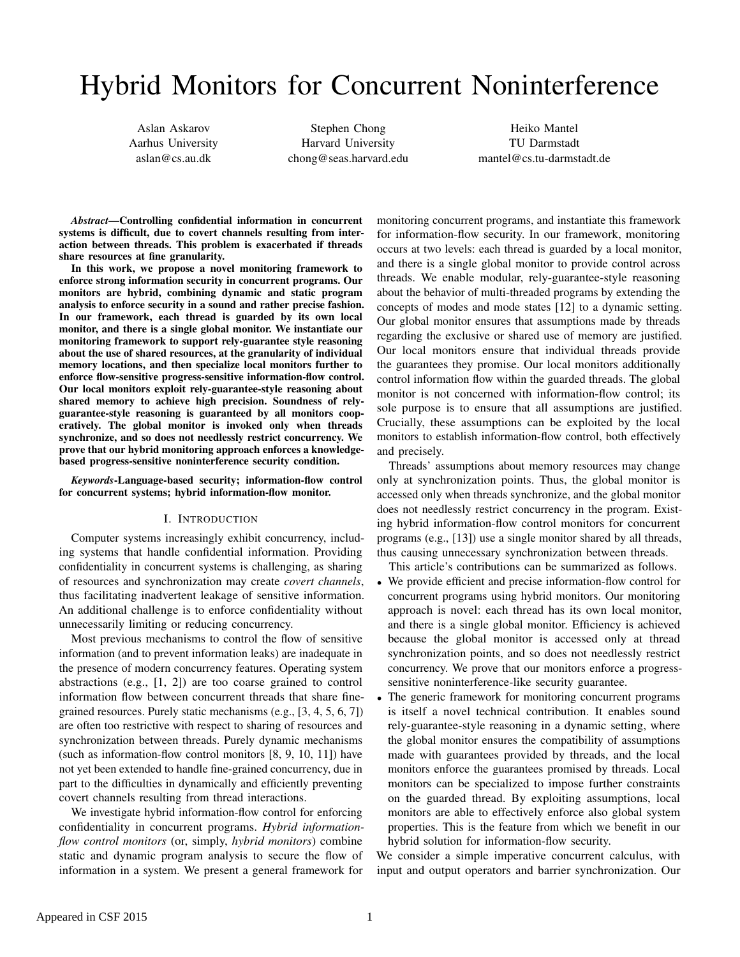# Hybrid Monitors for Concurrent Noninterference

Aslan Askarov Aarhus University aslan@cs.au.dk

Stephen Chong Harvard University chong@seas.harvard.edu

Heiko Mantel TU Darmstadt mantel@cs.tu-darmstadt.de

*Abstract*—Controlling confidential information in concurrent systems is difficult, due to covert channels resulting from interaction between threads. This problem is exacerbated if threads share resources at fine granularity.

In this work, we propose a novel monitoring framework to enforce strong information security in concurrent programs. Our monitors are hybrid, combining dynamic and static program analysis to enforce security in a sound and rather precise fashion. In our framework, each thread is guarded by its own local monitor, and there is a single global monitor. We instantiate our monitoring framework to support rely-guarantee style reasoning about the use of shared resources, at the granularity of individual memory locations, and then specialize local monitors further to enforce flow-sensitive progress-sensitive information-flow control. Our local monitors exploit rely-guarantee-style reasoning about shared memory to achieve high precision. Soundness of relyguarantee-style reasoning is guaranteed by all monitors cooperatively. The global monitor is invoked only when threads synchronize, and so does not needlessly restrict concurrency. We prove that our hybrid monitoring approach enforces a knowledgebased progress-sensitive noninterference security condition.

*Keywords*-Language-based security; information-flow control for concurrent systems; hybrid information-flow monitor.

# I. INTRODUCTION

Computer systems increasingly exhibit concurrency, including systems that handle confidential information. Providing confidentiality in concurrent systems is challenging, as sharing of resources and synchronization may create *covert channels*, thus facilitating inadvertent leakage of sensitive information. An additional challenge is to enforce confidentiality without unnecessarily limiting or reducing concurrency.

Most previous mechanisms to control the flow of sensitive information (and to prevent information leaks) are inadequate in the presence of modern concurrency features. Operating system abstractions (e.g., [1, 2]) are too coarse grained to control information flow between concurrent threads that share finegrained resources. Purely static mechanisms (e.g., [3, 4, 5, 6, 7]) are often too restrictive with respect to sharing of resources and synchronization between threads. Purely dynamic mechanisms (such as information-flow control monitors [8, 9, 10, 11]) have not yet been extended to handle fine-grained concurrency, due in part to the difficulties in dynamically and efficiently preventing covert channels resulting from thread interactions.

We investigate hybrid information-flow control for enforcing confidentiality in concurrent programs. *Hybrid informationflow control monitors* (or, simply, *hybrid monitors*) combine static and dynamic program analysis to secure the flow of information in a system. We present a general framework for

monitoring concurrent programs, and instantiate this framework for information-flow security. In our framework, monitoring occurs at two levels: each thread is guarded by a local monitor, and there is a single global monitor to provide control across threads. We enable modular, rely-guarantee-style reasoning about the behavior of multi-threaded programs by extending the concepts of modes and mode states [12] to a dynamic setting. Our global monitor ensures that assumptions made by threads regarding the exclusive or shared use of memory are justified. Our local monitors ensure that individual threads provide the guarantees they promise. Our local monitors additionally control information flow within the guarded threads. The global monitor is not concerned with information-flow control; its sole purpose is to ensure that all assumptions are justified. Crucially, these assumptions can be exploited by the local monitors to establish information-flow control, both effectively and precisely.

Threads' assumptions about memory resources may change only at synchronization points. Thus, the global monitor is accessed only when threads synchronize, and the global monitor does not needlessly restrict concurrency in the program. Existing hybrid information-flow control monitors for concurrent programs (e.g., [13]) use a single monitor shared by all threads, thus causing unnecessary synchronization between threads.

This article's contributions can be summarized as follows.

- We provide efficient and precise information-flow control for concurrent programs using hybrid monitors. Our monitoring approach is novel: each thread has its own local monitor, and there is a single global monitor. Efficiency is achieved because the global monitor is accessed only at thread synchronization points, and so does not needlessly restrict concurrency. We prove that our monitors enforce a progresssensitive noninterference-like security guarantee.
- The generic framework for monitoring concurrent programs is itself a novel technical contribution. It enables sound rely-guarantee-style reasoning in a dynamic setting, where the global monitor ensures the compatibility of assumptions made with guarantees provided by threads, and the local monitors enforce the guarantees promised by threads. Local monitors can be specialized to impose further constraints on the guarded thread. By exploiting assumptions, local monitors are able to effectively enforce also global system properties. This is the feature from which we benefit in our hybrid solution for information-flow security.

We consider a simple imperative concurrent calculus, with input and output operators and barrier synchronization. Our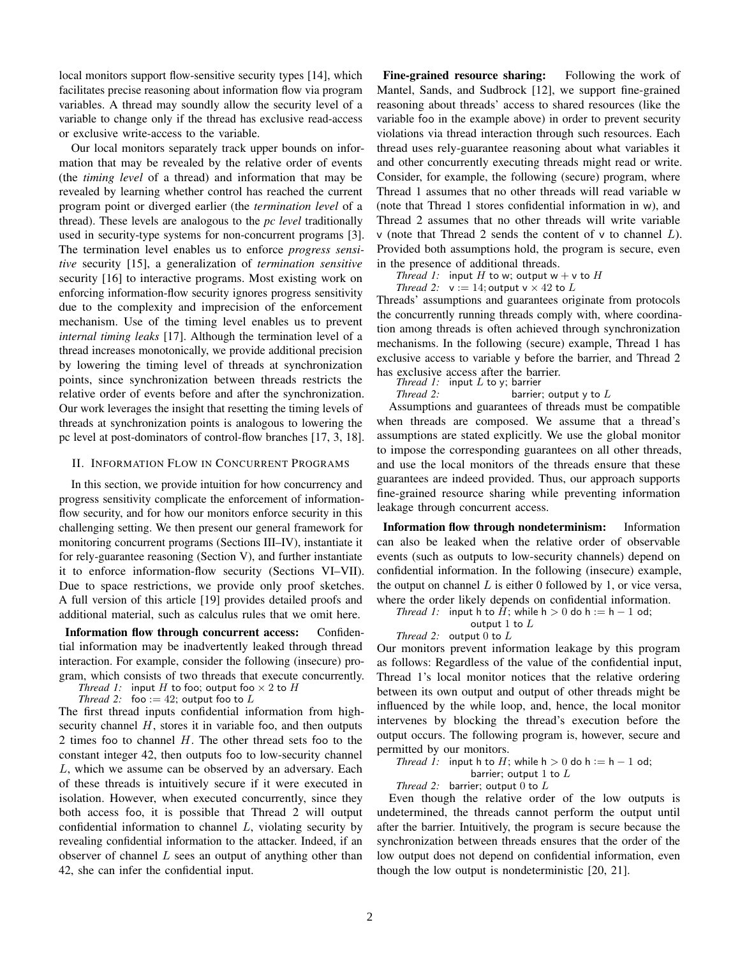local monitors support flow-sensitive security types [14], which facilitates precise reasoning about information flow via program variables. A thread may soundly allow the security level of a variable to change only if the thread has exclusive read-access or exclusive write-access to the variable.

Our local monitors separately track upper bounds on information that may be revealed by the relative order of events (the *timing level* of a thread) and information that may be revealed by learning whether control has reached the current program point or diverged earlier (the *termination level* of a thread). These levels are analogous to the *pc level* traditionally used in security-type systems for non-concurrent programs [3]. The termination level enables us to enforce *progress sensitive* security [15], a generalization of *termination sensitive* security [16] to interactive programs. Most existing work on enforcing information-flow security ignores progress sensitivity due to the complexity and imprecision of the enforcement mechanism. Use of the timing level enables us to prevent *internal timing leaks* [17]. Although the termination level of a thread increases monotonically, we provide additional precision by lowering the timing level of threads at synchronization points, since synchronization between threads restricts the relative order of events before and after the synchronization. Our work leverages the insight that resetting the timing levels of threads at synchronization points is analogous to lowering the pc level at post-dominators of control-flow branches [17, 3, 18].

# II. INFORMATION FLOW IN CONCURRENT PROGRAMS

In this section, we provide intuition for how concurrency and progress sensitivity complicate the enforcement of informationflow security, and for how our monitors enforce security in this challenging setting. We then present our general framework for monitoring concurrent programs (Sections III–IV), instantiate it for rely-guarantee reasoning (Section V), and further instantiate it to enforce information-flow security (Sections VI–VII). Due to space restrictions, we provide only proof sketches. A full version of this article [19] provides detailed proofs and additional material, such as calculus rules that we omit here.

Information flow through concurrent access: Confidential information may be inadvertently leaked through thread interaction. For example, consider the following (insecure) program, which consists of two threads that execute concurrently.

*Thread 1:* input H to foo; output foo  $\times$  2 to H

*Thread 2:* foo  $:= 42$ ; output foo to L The first thread inputs confidential information from highsecurity channel  $H$ , stores it in variable foo, and then outputs 2 times foo to channel H. The other thread sets foo to the constant integer 42, then outputs foo to low-security channel L, which we assume can be observed by an adversary. Each of these threads is intuitively secure if it were executed in isolation. However, when executed concurrently, since they both access foo, it is possible that Thread 2 will output confidential information to channel  $L$ , violating security by revealing confidential information to the attacker. Indeed, if an observer of channel  $L$  sees an output of anything other than 42, she can infer the confidential input.

Fine-grained resource sharing: Following the work of Mantel, Sands, and Sudbrock [12], we support fine-grained reasoning about threads' access to shared resources (like the variable foo in the example above) in order to prevent security violations via thread interaction through such resources. Each thread uses rely-guarantee reasoning about what variables it and other concurrently executing threads might read or write. Consider, for example, the following (secure) program, where Thread 1 assumes that no other threads will read variable w (note that Thread 1 stores confidential information in w), and Thread 2 assumes that no other threads will write variable  $v$  (note that Thread 2 sends the content of v to channel  $L$ ). Provided both assumptions hold, the program is secure, even in the presence of additional threads.

*Thread 1:* input  $H$  to w; output  $w + v$  to  $H$ 

*Thread 2:*  $v := 14$ ; output  $v \times 42$  to L

Threads' assumptions and guarantees originate from protocols the concurrently running threads comply with, where coordination among threads is often achieved through synchronization mechanisms. In the following (secure) example, Thread 1 has exclusive access to variable y before the barrier, and Thread 2 has exclusive access after the barrier.

*Thread 1:* input L to y; barrier

*Thread 2:* barrier; output y to L

Assumptions and guarantees of threads must be compatible when threads are composed. We assume that a thread's assumptions are stated explicitly. We use the global monitor to impose the corresponding guarantees on all other threads, and use the local monitors of the threads ensure that these guarantees are indeed provided. Thus, our approach supports fine-grained resource sharing while preventing information leakage through concurrent access.

Information flow through nondeterminism: Information can also be leaked when the relative order of observable events (such as outputs to low-security channels) depend on confidential information. In the following (insecure) example, the output on channel  $L$  is either 0 followed by 1, or vice versa, where the order likely depends on confidential information.

*Thread 1:* input h to  $H$ ; while  $h > 0$  do  $h := h - 1$  od;

```
output 1 to L
```
*Thread 2:* output 0 to L

Our monitors prevent information leakage by this program as follows: Regardless of the value of the confidential input, Thread 1's local monitor notices that the relative ordering between its own output and output of other threads might be influenced by the while loop, and, hence, the local monitor intervenes by blocking the thread's execution before the output occurs. The following program is, however, secure and permitted by our monitors.

*Thread 1:* input h to H; while  $h > 0$  do  $h := h - 1$  od;

barrier; output 1 to  $L$ 

*Thread 2:* barrier; output 0 to L

Even though the relative order of the low outputs is undetermined, the threads cannot perform the output until after the barrier. Intuitively, the program is secure because the synchronization between threads ensures that the order of the low output does not depend on confidential information, even though the low output is nondeterministic [20, 21].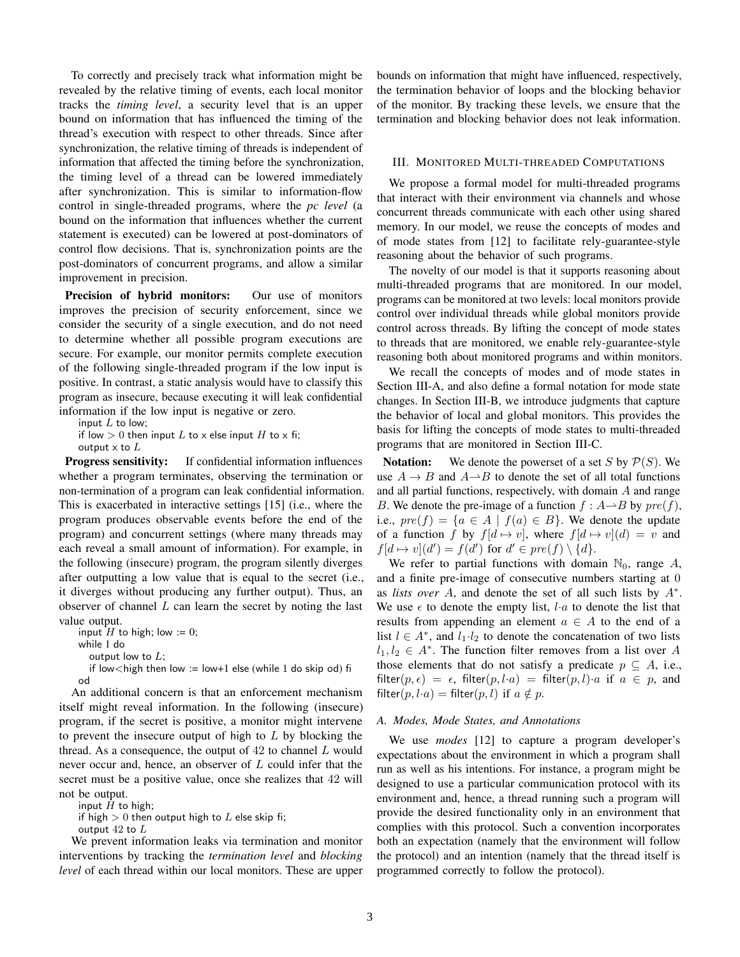To correctly and precisely track what information might be revealed by the relative timing of events, each local monitor tracks the *timing level*, a security level that is an upper bound on information that has influenced the timing of the thread's execution with respect to other threads. Since after synchronization, the relative timing of threads is independent of information that affected the timing before the synchronization, the timing level of a thread can be lowered immediately after synchronization. This is similar to information-flow control in single-threaded programs, where the *pc level* (a bound on the information that influences whether the current statement is executed) can be lowered at post-dominators of control flow decisions. That is, synchronization points are the post-dominators of concurrent programs, and allow a similar improvement in precision.

Precision of hybrid monitors: Our use of monitors improves the precision of security enforcement, since we consider the security of a single execution, and do not need to determine whether all possible program executions are secure. For example, our monitor permits complete execution of the following single-threaded program if the low input is positive. In contrast, a static analysis would have to classify this program as insecure, because executing it will leak confidential information if the low input is negative or zero.

input  $L$  to low;

if low  $> 0$  then input L to x else input H to x fi; output  $\times$  to  $L$ 

Progress sensitivity: If confidential information influences whether a program terminates, observing the termination or non-termination of a program can leak confidential information. This is exacerbated in interactive settings [15] (i.e., where the program produces observable events before the end of the program) and concurrent settings (where many threads may each reveal a small amount of information). For example, in the following (insecure) program, the program silently diverges after outputting a low value that is equal to the secret (i.e., it diverges without producing any further output). Thus, an observer of channel  $L$  can learn the secret by noting the last value output.

input  $H$  to high; low := 0; while 1 do output low to  $L$ ; if low<high then low  $:=$  low+1 else (while 1 do skip od) fi od

An additional concern is that an enforcement mechanism itself might reveal information. In the following (insecure) program, if the secret is positive, a monitor might intervene to prevent the insecure output of high to  $L$  by blocking the thread. As a consequence, the output of  $42$  to channel  $L$  would never occur and, hence, an observer of L could infer that the secret must be a positive value, once she realizes that 42 will not be output.

input  $H$  to high; if high  $> 0$  then output high to L else skip fi; output 42 to L

We prevent information leaks via termination and monitor interventions by tracking the *termination level* and *blocking level* of each thread within our local monitors. These are upper bounds on information that might have influenced, respectively, the termination behavior of loops and the blocking behavior of the monitor. By tracking these levels, we ensure that the termination and blocking behavior does not leak information.

#### III. MONITORED MULTI-THREADED COMPUTATIONS

We propose a formal model for multi-threaded programs that interact with their environment via channels and whose concurrent threads communicate with each other using shared memory. In our model, we reuse the concepts of modes and of mode states from [12] to facilitate rely-guarantee-style reasoning about the behavior of such programs.

The novelty of our model is that it supports reasoning about multi-threaded programs that are monitored. In our model, programs can be monitored at two levels: local monitors provide control over individual threads while global monitors provide control across threads. By lifting the concept of mode states to threads that are monitored, we enable rely-guarantee-style reasoning both about monitored programs and within monitors.

We recall the concepts of modes and of mode states in Section III-A, and also define a formal notation for mode state changes. In Section III-B, we introduce judgments that capture the behavior of local and global monitors. This provides the basis for lifting the concepts of mode states to multi-threaded programs that are monitored in Section III-C.

**Notation:** We denote the powerset of a set S by  $\mathcal{P}(S)$ . We use  $A \rightarrow B$  and  $A \rightarrow B$  to denote the set of all total functions and all partial functions, respectively, with domain A and range B. We denote the pre-image of a function  $f : A \rightarrow B$  by  $pre(f)$ , i.e.,  $pre(f) = \{a \in A \mid f(a) \in B\}$ . We denote the update of a function f by  $f[d \mapsto v]$ , where  $f[d \mapsto v](d) = v$  and  $f[d \mapsto v](d') = f(d')$  for  $d' \in pre(f) \setminus \{d\}.$ 

We refer to partial functions with domain  $\mathbb{N}_0$ , range A, and a finite pre-image of consecutive numbers starting at 0 as *lists over*  $A$ , and denote the set of all such lists by  $A^*$ . We use  $\epsilon$  to denote the empty list,  $l \cdot a$  to denote the list that results from appending an element  $a \in A$  to the end of a list  $l \in A^*$ , and  $l_1 \cdot l_2$  to denote the concatenation of two lists  $l_1, l_2 \in A^*$ . The function filter removes from a list over A those elements that do not satisfy a predicate  $p \subseteq A$ , i.e., filter( $p, \epsilon$ ) =  $\epsilon$ , filter( $p, l \cdot a$ ) = filter( $p, l \cdot a$  if  $a \in p$ , and filter(p, l·a) = filter(p, l) if  $a \notin p$ .

#### *A. Modes, Mode States, and Annotations*

We use *modes* [12] to capture a program developer's expectations about the environment in which a program shall run as well as his intentions. For instance, a program might be designed to use a particular communication protocol with its environment and, hence, a thread running such a program will provide the desired functionality only in an environment that complies with this protocol. Such a convention incorporates both an expectation (namely that the environment will follow the protocol) and an intention (namely that the thread itself is programmed correctly to follow the protocol).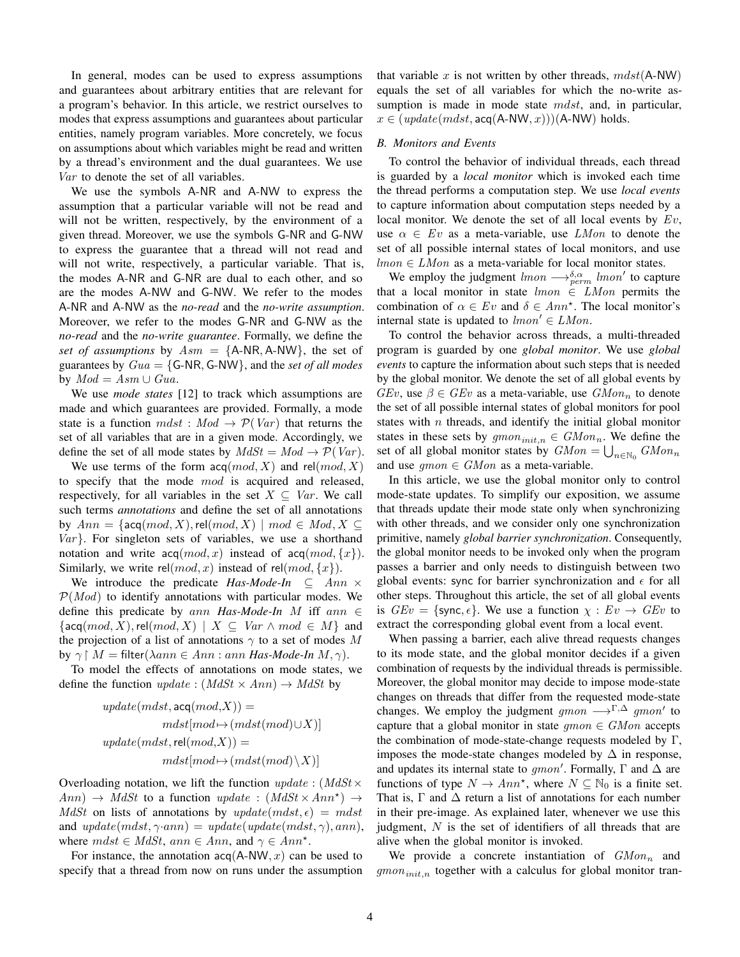In general, modes can be used to express assumptions and guarantees about arbitrary entities that are relevant for a program's behavior. In this article, we restrict ourselves to modes that express assumptions and guarantees about particular entities, namely program variables. More concretely, we focus on assumptions about which variables might be read and written by a thread's environment and the dual guarantees. We use Var to denote the set of all variables.

We use the symbols A-NR and A-NW to express the assumption that a particular variable will not be read and will not be written, respectively, by the environment of a given thread. Moreover, we use the symbols G-NR and G-NW to express the guarantee that a thread will not read and will not write, respectively, a particular variable. That is, the modes A-NR and G-NR are dual to each other, and so are the modes A-NW and G-NW. We refer to the modes A-NR and A-NW as the *no-read* and the *no-write assumption*. Moreover, we refer to the modes G-NR and G-NW as the *no-read* and the *no-write guarantee*. Formally, we define the *set of assumptions* by  $Asm = \{A-NR, A-NW\}$ , the set of guarantees by Gua = {G-NR, G-NW}, and the *set of all modes* by  $Mod = Asm \cup Gua$ .

We use *mode states* [12] to track which assumptions are made and which guarantees are provided. Formally, a mode state is a function  $mdst : Mod \rightarrow \mathcal{P}(Var)$  that returns the set of all variables that are in a given mode. Accordingly, we define the set of all mode states by  $M dSt = Mod \rightarrow \mathcal{P}(Var)$ .

We use terms of the form  $\text{acq}(mod, X)$  and rel $(mod, X)$ to specify that the mode mod is acquired and released, respectively, for all variables in the set  $X \subseteq Var$ . We call such terms *annotations* and define the set of all annotations by  $Ann = \{ \text{acq}(mod, X), \text{rel}(mod, X) \mid mod \in Mod, X \subseteq \emptyset \}$ Var}. For singleton sets of variables, we use a shorthand notation and write  $\text{acq}(mod, x)$  instead of  $\text{acq}(mod, \{x\})$ . Similarly, we write rel( $mod, x$ ) instead of rel( $mod, \{x\}$ ).

We introduce the predicate  $Has-Mode-In \subseteq Ann \times$  $P(Mod)$  to identify annotations with particular modes. We define this predicate by ann *Has-Mode-In* M iff ann ∈  ${a \in \{mod, X\}, \text{rel}(mod, X) \mid X \subseteq Var \land mod \in M}$  and the projection of a list of annotations  $\gamma$  to a set of modes M by  $\gamma \restriction M = \text{filter}(\lambda ann \in Ann : ann Has-Mode-In M, \gamma).$ 

To model the effects of annotations on mode states, we define the function  $update : (M dSt \times Ann) \rightarrow M dSt$  by

$$
update(mdst, \texttt{acq}(mod, X)) = \\ mdst[mod \rightarrow (mdst(mod) \cup X)]
$$

$$
update(mdst, \text{rel}(mod, X)) = \\ mdst[mod \rightarrow (mdst(mod) \setminus X)]
$$

Overloading notation, we lift the function  $update : (MdSt \times$  $Ann) \rightarrow M dSt$  to a function  $update : (M dSt \times Ann^*) \rightarrow$ MdSt on lists of annotations by  $update(mdst, \epsilon) = mdst$ and  $update(mdst, \gamma \cdot ann) = update(wplate(mdst, \gamma), ann),$ where  $mdst \in M dSt$ ,  $ann \in Ann$ , and  $\gamma \in Ann^*$ .

For instance, the annotation  $acq(A-NW, x)$  can be used to specify that a thread from now on runs under the assumption that variable x is not written by other threads,  $mdst(A-NW)$ equals the set of all variables for which the no-write assumption is made in mode state  $m\,dst$ , and, in particular,  $x \in (update(mdst, \text{acq}(A-NW, x)))(A-NW)$  holds.

## *B. Monitors and Events*

To control the behavior of individual threads, each thread is guarded by a *local monitor* which is invoked each time the thread performs a computation step. We use *local events* to capture information about computation steps needed by a local monitor. We denote the set of all local events by  $Ev$ , use  $\alpha \in Ev$  as a meta-variable, use *LMon* to denote the set of all possible internal states of local monitors, and use  $l$ mon  $\in LM$ on as a meta-variable for local monitor states.

We employ the judgment  $lmon \rightarrow_{perm}^{\delta,\alpha} lmon'$  to capture that a local monitor in state  $l$ mon  $\in LM$ on permits the combination of  $\alpha \in Ev$  and  $\delta \in Ann^{\star}$ . The local monitor's internal state is updated to  $lmon' \in LMon$ .

To control the behavior across threads, a multi-threaded program is guarded by one *global monitor*. We use *global events* to capture the information about such steps that is needed by the global monitor. We denote the set of all global events by  $GEv$ , use  $\beta \in GEv$  as a meta-variable, use  $GMon_n$  to denote the set of all possible internal states of global monitors for pool states with  $n$  threads, and identify the initial global monitor states in these sets by  $gmon_{init,n} \in GMon_n$ . We define the set of all global monitor states by  $GMon = \bigcup_{n \in \mathbb{N}_0} GMon_n$ and use  $gmon \in GMon$  as a meta-variable.

In this article, we use the global monitor only to control mode-state updates. To simplify our exposition, we assume that threads update their mode state only when synchronizing with other threads, and we consider only one synchronization primitive, namely *global barrier synchronization*. Consequently, the global monitor needs to be invoked only when the program passes a barrier and only needs to distinguish between two global events: sync for barrier synchronization and  $\epsilon$  for all other steps. Throughout this article, the set of all global events is  $GEv = \{\text{sync}, \epsilon\}$ . We use a function  $\chi : Ev \to GEv$  to extract the corresponding global event from a local event.

When passing a barrier, each alive thread requests changes to its mode state, and the global monitor decides if a given combination of requests by the individual threads is permissible. Moreover, the global monitor may decide to impose mode-state changes on threads that differ from the requested mode-state changes. We employ the judgment  $gmon \rightarrow \Gamma, \Delta gmon'$  to capture that a global monitor in state  $qmon \in GMon$  accepts the combination of mode-state-change requests modeled by  $\Gamma$ , imposes the mode-state changes modeled by  $\Delta$  in response, and updates its internal state to  $gmon'$ . Formally,  $\Gamma$  and  $\Delta$  are functions of type  $N \to Ann^*$ , where  $N \subseteq \mathbb{N}_0$  is a finite set. That is,  $\Gamma$  and  $\Delta$  return a list of annotations for each number in their pre-image. As explained later, whenever we use this judgment, N is the set of identifiers of all threads that are alive when the global monitor is invoked.

We provide a concrete instantiation of  $GMon_n$  and  $gmon_{init,n}$  together with a calculus for global monitor tran-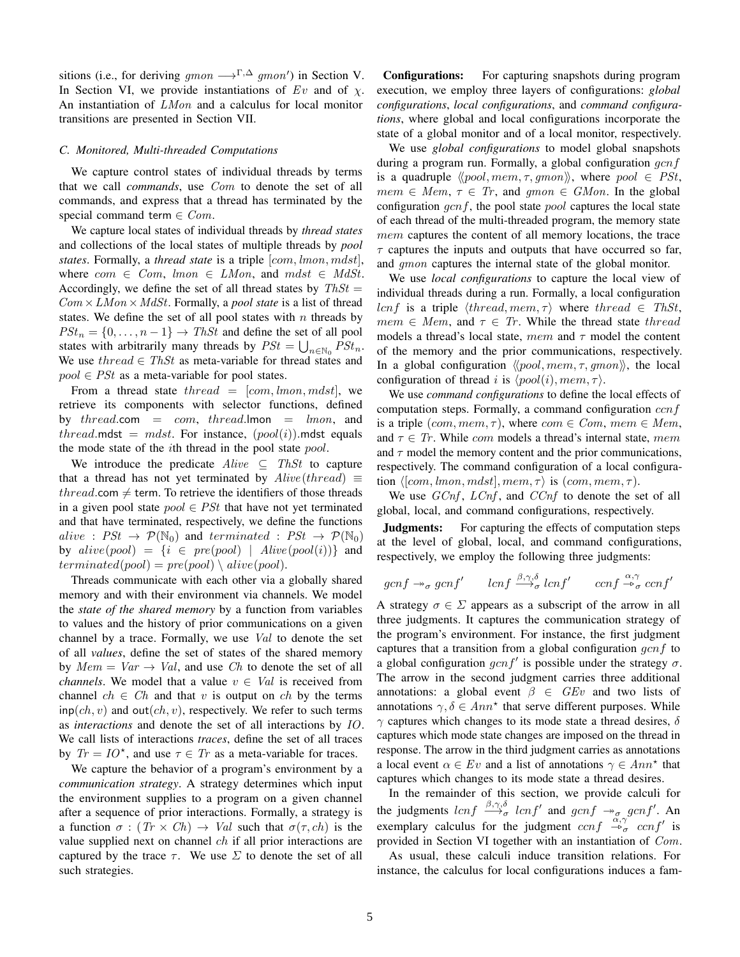sitions (i.e., for deriving  $gmon \rightarrow \Gamma, \Delta gmon'$ ) in Section V. In Section VI, we provide instantiations of  $Ev$  and of  $\chi$ . An instantiation of LMon and a calculus for local monitor transitions are presented in Section VII.

#### *C. Monitored, Multi-threaded Computations*

We capture control states of individual threads by terms that we call *commands*, use Com to denote the set of all commands, and express that a thread has terminated by the special command term  $\in Com$ .

We capture local states of individual threads by *thread states* and collections of the local states of multiple threads by *pool states*. Formally, a *thread state* is a triple [com, lmon, mdst], where  $com \in Com$ ,  $lmon \in LMon$ , and  $mdst \in MdSt$ . Accordingly, we define the set of all thread states by  $ThSt =$  $Com \times LMon \times MdSt$ . Formally, a *pool state* is a list of thread states. We define the set of all pool states with  $n$  threads by  $PSt_n = \{0, \ldots, n-1\} \rightarrow ThSt$  and define the set of all pool states with arbitrarily many threads by  $PSt = \bigcup_{n \in \mathbb{N}_0} PSt_n$ . We use  $thread \in ThSt$  as meta-variable for thread states and  $pool \in PSt$  as a meta-variable for pool states.

From a thread state  $thread = [com, lmon, mdst]$ , we retrieve its components with selector functions, defined by thread.com =  $com$ , thread.lmon =  $lmon$ , and thread.mdst = mdst. For instance,  $(pool(i))$ .mdst equals the mode state of the *i*th thread in the pool state *pool*.

We introduce the predicate  $Alive \subseteq ThSt$  to capture that a thread has not yet terminated by  $Alive(thread) \equiv$ thread.com  $\neq$  term. To retrieve the identifiers of those threads in a given pool state  $pool \in PSt$  that have not yet terminated and that have terminated, respectively, we define the functions alive :  $PSt \rightarrow \mathcal{P}(\mathbb{N}_0)$  and terminated :  $PSt \rightarrow \mathcal{P}(\mathbb{N}_0)$ by  $alive(pool) = \{i \in pre(pool) \mid Alice(pool(i))\}$  and terminated(pool) =  $pre(pool) \setminus alive(pool)$ .

Threads communicate with each other via a globally shared memory and with their environment via channels. We model the *state of the shared memory* by a function from variables to values and the history of prior communications on a given channel by a trace. Formally, we use Val to denote the set of all *values*, define the set of states of the shared memory by  $Mem = Var \rightarrow Val$ , and use Ch to denote the set of all *channels*. We model that a value  $v \in Val$  is received from channel  $ch \in Ch$  and that v is output on ch by the terms  $\mathsf{inp}(ch, v)$  and  $\mathsf{out}(ch, v)$ , respectively. We refer to such terms as *interactions* and denote the set of all interactions by IO. We call lists of interactions *traces*, define the set of all traces by  $Tr = IO^*$ , and use  $\tau \in Tr$  as a meta-variable for traces.

We capture the behavior of a program's environment by a *communication strategy*. A strategy determines which input the environment supplies to a program on a given channel after a sequence of prior interactions. Formally, a strategy is a function  $\sigma$  :  $(Tr \times Ch) \rightarrow Val$  such that  $\sigma(\tau, ch)$  is the value supplied next on channel ch if all prior interactions are captured by the trace  $\tau$ . We use  $\Sigma$  to denote the set of all such strategies.

Configurations: For capturing snapshots during program execution, we employ three layers of configurations: *global configurations*, *local configurations*, and *command configurations*, where global and local configurations incorporate the state of a global monitor and of a local monitor, respectively.

We use *global configurations* to model global snapshots during a program run. Formally, a global configuration  $gcnf$ is a quadruple  $\langle \langle pool, mem, \tau, gmon \rangle \rangle$ , where pool  $\in PSt$ ,  $mem \in Mem, \tau \in Tr, \text{ and } gmon \in GMon.$  In the global configuration  $gcnf$ , the pool state pool captures the local state of each thread of the multi-threaded program, the memory state mem captures the content of all memory locations, the trace  $\tau$  captures the inputs and outputs that have occurred so far, and *gmon* captures the internal state of the global monitor.

We use *local configurations* to capture the local view of individual threads during a run. Formally, a local configuration lcnf is a triple  $\langle thread, mem, \tau \rangle$  where thread  $\in$  ThSt,  $mem \in Mem$ , and  $\tau \in Tr$ . While the thread state thread models a thread's local state, mem and  $\tau$  model the content of the memory and the prior communications, respectively. In a global configuration  $\langle \langle pool, mem, \tau, gmon \rangle \rangle$ , the local configuration of thread i is  $\langle pool(i), mem, \tau \rangle$ .

We use *command configurations* to define the local effects of computation steps. Formally, a command configuration  $\operatorname{cnf}$ is a triple  $(com, mem, \tau)$ , where  $com \in Com, mem \in Mem$ , and  $\tau \in Tr$ . While *com* models a thread's internal state, *mem* and  $\tau$  model the memory content and the prior communications, respectively. The command configuration of a local configuration  $\langle [com, lmon, mdst], mem, \tau \rangle$  is  $(com, mem, \tau)$ .

We use  $GCnf$ ,  $LCnf$ , and  $CCnf$  to denote the set of all global, local, and command configurations, respectively.

**Judgments:** For capturing the effects of computation steps at the level of global, local, and command configurations, respectively, we employ the following three judgments:

$$
gcnf \rightarrow_{\sigma} genf' \qquad \text{lenf} \xrightarrow{\beta,\gamma,\delta} \text{lenf}' \qquad \text{conf} \xrightarrow{\alpha,\gamma} \text{conf}'
$$

A strategy  $\sigma \in \Sigma$  appears as a subscript of the arrow in all three judgments. It captures the communication strategy of the program's environment. For instance, the first judgment captures that a transition from a global configuration  $gcnf$  to a global configuration  $gcnf'$  is possible under the strategy  $\sigma$ . The arrow in the second judgment carries three additional annotations: a global event  $\beta \in GEv$  and two lists of annotations  $\gamma, \delta \in Ann^{\star}$  that serve different purposes. While  $\gamma$  captures which changes to its mode state a thread desires,  $\delta$ captures which mode state changes are imposed on the thread in response. The arrow in the third judgment carries as annotations a local event  $\alpha \in Ev$  and a list of annotations  $\gamma \in Ann^{\star}$  that captures which changes to its mode state a thread desires.

In the remainder of this section, we provide calculi for the judgments  $lcnf \stackrel{\beta,\gamma,\delta}{\longrightarrow}_{\sigma} lenf'$  and  $gcnf \rightarrow_{\sigma} genf'$ . An exemplary calculus for the judgment  $\overline{c}$  conf  $\rightarrow_{\sigma}^{\alpha,\gamma}$  conf' is provided in Section VI together with an instantiation of Com.

As usual, these calculi induce transition relations. For instance, the calculus for local configurations induces a fam-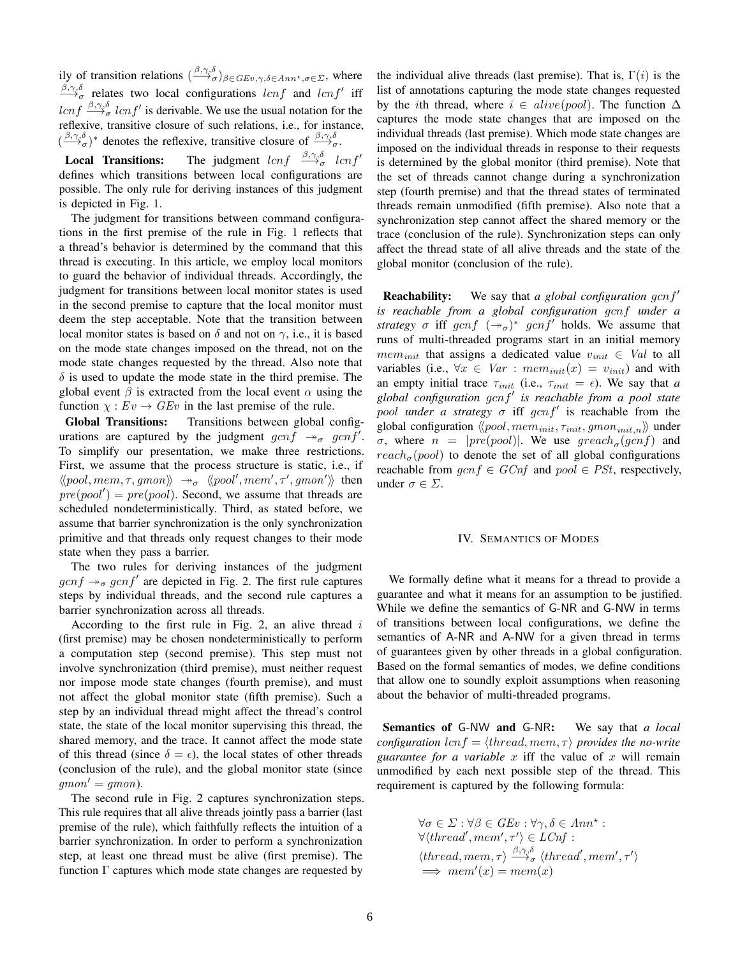ily of transition relations  $(\frac{\beta,\gamma,\delta}{\sigma})_{\beta \in GEv, \gamma,\delta \in Ann^{\star},\sigma \in \Sigma}$ , where  $\frac{\beta, \gamma, \delta}{\gamma}$  relates two local configurations  $lcnf$  and  $lcnf'$  iff lcnf  $\stackrel{\beta,\gamma,\delta}{\longrightarrow}_{\sigma}$  lcnf' is derivable. We use the usual notation for the reflexive, transitive closure of such relations, i.e., for instance,  $(\frac{\beta,\gamma,\delta}{\sigma})^*$  denotes the reflexive, transitive closure of  $\frac{\beta,\gamma,\delta}{\sigma}$ .

**Local Transitions:** The judgment  $lcnf \stackrel{\beta,\gamma,\delta}{\longrightarrow}_{\sigma} lcnf'$ defines which transitions between local configurations are possible. The only rule for deriving instances of this judgment is depicted in Fig. 1.

The judgment for transitions between command configurations in the first premise of the rule in Fig. 1 reflects that a thread's behavior is determined by the command that this thread is executing. In this article, we employ local monitors to guard the behavior of individual threads. Accordingly, the judgment for transitions between local monitor states is used in the second premise to capture that the local monitor must deem the step acceptable. Note that the transition between local monitor states is based on  $\delta$  and not on  $\gamma$ , i.e., it is based on the mode state changes imposed on the thread, not on the mode state changes requested by the thread. Also note that  $\delta$  is used to update the mode state in the third premise. The global event  $\beta$  is extracted from the local event  $\alpha$  using the function  $\chi: Ev \to GEv$  in the last premise of the rule.

Global Transitions: Transitions between global configurations are captured by the judgment  $gcn\bar{f} \rightarrow_{\sigma} gcn\bar{f}'$ . To simplify our presentation, we make three restrictions. First, we assume that the process structure is static, i.e., if  $\langle \langle pool, mem, \tau, gmon \rangle \rangle \rightarrow_{\sigma}^{\bullet} \langle \langle pool', mem', \tau', gmon' \rangle \rangle$  then  $\text{pre}(\text{pool}') = \text{pre}(\text{pool})$ . Second, we assume that threads are scheduled nondeterministically. Third, as stated before, we assume that barrier synchronization is the only synchronization primitive and that threads only request changes to their mode state when they pass a barrier.

The two rules for deriving instances of the judgment  $gcnf \rightarrow_{\sigma} gcnf'$  are depicted in Fig. 2. The first rule captures steps by individual threads, and the second rule captures a barrier synchronization across all threads.

According to the first rule in Fig. 2, an alive thread  $i$ (first premise) may be chosen nondeterministically to perform a computation step (second premise). This step must not involve synchronization (third premise), must neither request nor impose mode state changes (fourth premise), and must not affect the global monitor state (fifth premise). Such a step by an individual thread might affect the thread's control state, the state of the local monitor supervising this thread, the shared memory, and the trace. It cannot affect the mode state of this thread (since  $\delta = \epsilon$ ), the local states of other threads (conclusion of the rule), and the global monitor state (since  $gmon' = gmon$ ).

The second rule in Fig. 2 captures synchronization steps. This rule requires that all alive threads jointly pass a barrier (last premise of the rule), which faithfully reflects the intuition of a barrier synchronization. In order to perform a synchronization step, at least one thread must be alive (first premise). The function  $\Gamma$  captures which mode state changes are requested by

the individual alive threads (last premise). That is,  $\Gamma(i)$  is the list of annotations capturing the mode state changes requested by the *i*th thread, where  $i \in alive(pool)$ . The function  $\Delta$ captures the mode state changes that are imposed on the individual threads (last premise). Which mode state changes are imposed on the individual threads in response to their requests is determined by the global monitor (third premise). Note that the set of threads cannot change during a synchronization step (fourth premise) and that the thread states of terminated threads remain unmodified (fifth premise). Also note that a synchronization step cannot affect the shared memory or the trace (conclusion of the rule). Synchronization steps can only affect the thread state of all alive threads and the state of the global monitor (conclusion of the rule).

**Reachability:** We say that *a global configuration gcnf<sup>'</sup> is reachable from a global configuration* gcnf *under a strategy*  $\sigma$  iff gcnf $(\rightarrow_{\sigma})^*$  gcnf<sup>'</sup> holds. We assume that runs of multi-threaded programs start in an initial memory mem<sub>init</sub> that assigns a dedicated value  $v_{init} \in Val$  to all variables (i.e.,  $\forall x \in Var : mem_{init}(x) = v_{init}$ ) and with an empty initial trace  $\tau_{init}$  (i.e.,  $\tau_{init} = \epsilon$ ). We say that *a global configuration* gcnf<sup>0</sup> *is reachable from a pool state* pool *under a strategy*  $\sigma$  iff gcn f' is reachable from the global configuration  $\langle \langle pool, mem_{init}, \tau_{init}, gmon_{init,n} \rangle \rangle$  under  $\sigma$ , where  $n = |pre(pool)|$ . We use  $greach_{\sigma}(gcnf)$  and  $reach_{\sigma}(pool)$  to denote the set of all global configurations reachable from  $gcnf \in GCnf$  and  $pool \in PSt$ , respectively, under  $\sigma \in \Sigma$ .

## IV. SEMANTICS OF MODES

We formally define what it means for a thread to provide a guarantee and what it means for an assumption to be justified. While we define the semantics of G-NR and G-NW in terms of transitions between local configurations, we define the semantics of A-NR and A-NW for a given thread in terms of guarantees given by other threads in a global configuration. Based on the formal semantics of modes, we define conditions that allow one to soundly exploit assumptions when reasoning about the behavior of multi-threaded programs.

Semantics of G-NW and G-NR: We say that *a local configuration*  $lcnf = \langle thread, mem, \tau \rangle$  *provides the no-write guarantee for a variable*  $x$  iff the value of  $x$  will remain unmodified by each next possible step of the thread. This requirement is captured by the following formula:

> $\forall \sigma \in \Sigma : \forall \beta \in GEv : \forall \gamma, \delta \in Ann^* :$  $\forall \langle thread', mem', \tau' \rangle \in LCnf :$  $\langle thread, mem, \tau \rangle \stackrel{\beta,\gamma,\delta}{\longrightarrow}_{\sigma} \langle thread',mem', \tau' \rangle$  $\implies mem'(x) = mem(x)$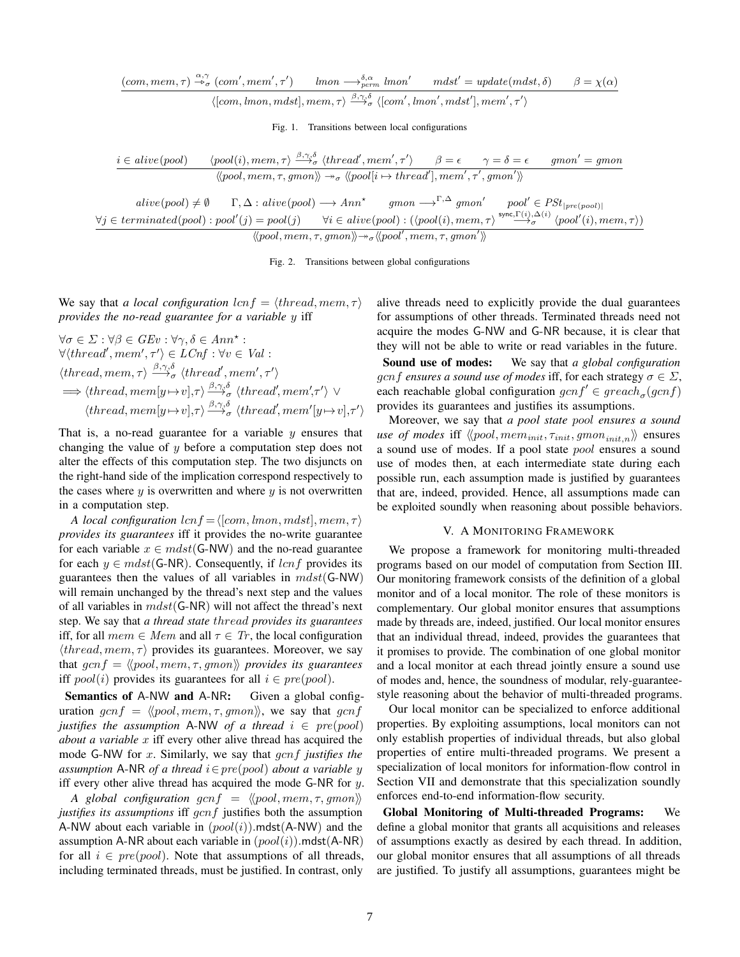$$
\frac{(com, mem, \tau) \xrightarrow{\alpha, \gamma} (com', mem', \tau') \quad lmon \longrightarrow_{perm}^{\delta, \alpha} lmon' \quad mdst' = update(mdst, \delta) \quad \beta = \chi(\alpha)}{\langle [com, lmon, mdst], mem, \tau \rangle \xrightarrow{\beta, \gamma, \delta} \langle [com', lmon', mdst'], mem', \tau' \rangle}
$$

Fig. 1. Transitions between local configurations

$$
\frac{i \in alive(pool) \qquad \langle pool(i), mem, \tau \rangle \stackrel{\beta, \gamma, \delta}{\longrightarrow_{\sigma}} \langle thread', mem', \tau' \rangle \qquad \beta = \epsilon \qquad \gamma = \delta = \epsilon \qquad gmon' = gmon' \qquad \langle pool, mem, \tau, gmon \rangle \rightarrow_{\sigma} \langle pool[i \mapsto thread'], mem', \tau', gmon' \rangle}
$$

 $alive(pool) \neq \emptyset$   $\Gamma, \Delta: alive(pool) \longrightarrow Ann^*$  $gmon \longrightarrow^{\Gamma,\Delta} gmon'$  $pool' \in PSt_{|pre(pool)|}$  $\forall j \in terminated(pool): pool'(j) = pool(j) \quad \forall i \in alive(pool): (\langle pool(i),mem, \tau \rangle \stackrel{\text{sync}, \Gamma(i), \Delta(i)}{\longrightarrow_{\sigma}} \langle pool'(i),mem, \tau \rangle)$  $\langle\!\langle pool, mem, \tau, gmon \rangle\!\rangle \rightarrow_\sigma \langle\!\langle pool', mem, \tau, gmon' \rangle\!\rangle$ 

Fig. 2. Transitions between global configurations

We say that *a local configuration*  $lcnf = \langle thread, mem, \tau \rangle$ *provides the no-read guarantee for a variable* y iff

$$
\forall \sigma \in \Sigma : \forall \beta \in GEv : \forall \gamma, \delta \in Ann^* : \forall \langle thread, mem', \tau' \rangle \in LCnf : \forall v \in Val : \langle thread, mem, \tau \rangle \xrightarrow{\beta, \gamma, \delta} \langle thread', mem', \tau' \rangle \Rightarrow \langle thread, mem[y \mapsto v], \tau \rangle \xrightarrow{\beta, \gamma, \delta} \langle thread, mem' \rangle \lor \langle thread, mem[y \mapsto v], \tau \rangle \xrightarrow{\beta, \gamma, \delta} \langle thread, mem'[y \mapsto v], \tau' \rangle
$$

That is, a no-read guarantee for a variable  $y$  ensures that changing the value of  $y$  before a computation step does not alter the effects of this computation step. The two disjuncts on the right-hand side of the implication correspond respectively to the cases where  $y$  is overwritten and where  $y$  is not overwritten in a computation step.

*A local configuration*  $lcnf = \langle [com, lmon, mdst], mem, \tau \rangle$ *provides its guarantees* iff it provides the no-write guarantee for each variable  $x \in mdst(G-NW)$  and the no-read guarantee for each  $y \in mdst$  (G-NR). Consequently, if *lcnf* provides its guarantees then the values of all variables in  $mdst$ (G-NW) will remain unchanged by the thread's next step and the values of all variables in  $mdst$ (G-NR) will not affect the thread's next step. We say that *a thread state* thread *provides its guarantees* iff, for all  $mem \in Mem$  and all  $\tau \in Tr$ , the local configuration  $\langle thread, mem, \tau \rangle$  provides its guarantees. Moreover, we say that  $gcnf = \langle \langle pool, mem, \tau, gmon \rangle \rangle$  *provides its guarantees* iff  $pool(i)$  provides its guarantees for all  $i \in pre(pool)$ .

Semantics of A-NW and A-NR: Given a global configuration  $gcnf = \langle \langle pool, mem, \tau, gmon \rangle \rangle$ , we say that  $gcnf$ *justifies the assumption* A-NW *of a thread*  $i \in pre(pool)$ *about a variable* x iff every other alive thread has acquired the mode G-NW for x. Similarly, we say that gcnf *justifies the assumption* A-NR *of a thread*  $i \in pre(pool)$  *about a variable* y iff every other alive thread has acquired the mode  $G-NR$  for  $y$ .

*A* global configuration gcn  $f = \langle \langle pool, mem, \tau, gmon \rangle \rangle$ *justifies its assumptions* iff *gcn f* justifies both the assumption A-NW about each variable in  $(pool(i))$ .mdst(A-NW) and the assumption A-NR about each variable in  $(pool(i))$ .mdst(A-NR) for all  $i \in pre(pool)$ . Note that assumptions of all threads, including terminated threads, must be justified. In contrast, only alive threads need to explicitly provide the dual guarantees for assumptions of other threads. Terminated threads need not acquire the modes G-NW and G-NR because, it is clear that they will not be able to write or read variables in the future.

Sound use of modes: We say that *a global configuration* gcnf ensures a sound use of modes iff, for each strategy  $\sigma \in \Sigma$ , each reachable global configuration  $gcnf' \in {\textit{greach}}_{\sigma}(\textit{gcnf})$ provides its guarantees and justifies its assumptions.

Moreover, we say that *a pool state* pool *ensures a sound use of modes* if  $\langle \langle pool, mem_{init}, \tau_{init}, gmon_{init,n} \rangle \rangle$  ensures a sound use of modes. If a pool state pool ensures a sound use of modes then, at each intermediate state during each possible run, each assumption made is justified by guarantees that are, indeed, provided. Hence, all assumptions made can be exploited soundly when reasoning about possible behaviors.

# V. A MONITORING FRAMEWORK

We propose a framework for monitoring multi-threaded programs based on our model of computation from Section III. Our monitoring framework consists of the definition of a global monitor and of a local monitor. The role of these monitors is complementary. Our global monitor ensures that assumptions made by threads are, indeed, justified. Our local monitor ensures that an individual thread, indeed, provides the guarantees that it promises to provide. The combination of one global monitor and a local monitor at each thread jointly ensure a sound use of modes and, hence, the soundness of modular, rely-guaranteestyle reasoning about the behavior of multi-threaded programs.

Our local monitor can be specialized to enforce additional properties. By exploiting assumptions, local monitors can not only establish properties of individual threads, but also global properties of entire multi-threaded programs. We present a specialization of local monitors for information-flow control in Section VII and demonstrate that this specialization soundly enforces end-to-end information-flow security.

Global Monitoring of Multi-threaded Programs: We define a global monitor that grants all acquisitions and releases of assumptions exactly as desired by each thread. In addition, our global monitor ensures that all assumptions of all threads are justified. To justify all assumptions, guarantees might be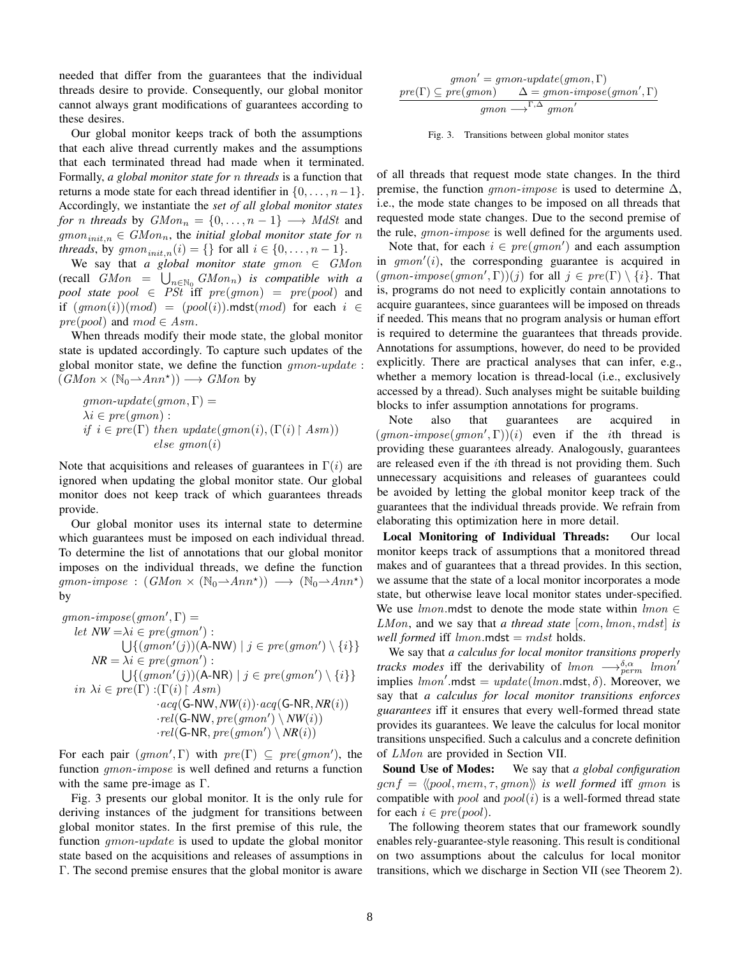needed that differ from the guarantees that the individual threads desire to provide. Consequently, our global monitor cannot always grant modifications of guarantees according to these desires.

Our global monitor keeps track of both the assumptions that each alive thread currently makes and the assumptions that each terminated thread had made when it terminated. Formally, *a global monitor state for* n *threads* is a function that returns a mode state for each thread identifier in  $\{0, \ldots, n-1\}$ . Accordingly, we instantiate the *set of all global monitor states for n threads* by  $GMon_n = \{0, ..., n-1\} \longrightarrow MdSt$  and  $gmon_{init,n} \in \mathbb{G}Mon_n$ , the *initial global monitor state for* n *threads*, by  $gmon_{init,n}(i) = \{\}$  for all  $i \in \{0, ..., n-1\}$ .

We say that *a global monitor state*  $g$ *mon*  $\in$  *GMon*  $(\text{recall } GMon = \bigcup_{n \in \mathbb{N}_0} GMon_n)$  *is compatible with a pool state pool*  $\in$  *PSt* iff  $pre(gmon) = pre(pool)$  and if  $(gmon(i))(mod) = (pool(i)).$ mdst $(mod)$  for each  $i \in$  $pre(pool)$  and  $mod \in Asm$ .

When threads modify their mode state, the global monitor state is updated accordingly. To capture such updates of the global monitor state, we define the function gmon-update :  $(GMon \times (N_0 \rightarrow Ann^*)) \longrightarrow GMon$  by

$$
gmon-update(gmon, \Gamma) =
$$
  
\n
$$
\lambda i \in pre(gmon) :\nif i \in pre(\Gamma) then update(gmon(i), (\Gamma(i) \upharpoonright Asm))\nelse gmon(i)
$$

Note that acquisitions and releases of guarantees in  $\Gamma(i)$  are ignored when updating the global monitor state. Our global monitor does not keep track of which guarantees threads provide.

Our global monitor uses its internal state to determine which guarantees must be imposed on each individual thread. To determine the list of annotations that our global monitor imposes on the individual threads, we define the function  $gmon\text{-}impose : (GMon \times (\mathbb{N}_0 \rightarrow Ann^*)) \longrightarrow (\mathbb{N}_0 \rightarrow Ann^*)$ by

 $gmon\text{-}impose(gmon',\Gamma) =$ let  $NW = \lambda i \in pre(gmon')$ :  $\bigcup \{ (gmon'(j))$ (A-NW)  $| j \in pre(gmon') \setminus \{i\} \}$  $NR = \lambda i \in pre(gmon')$ :  $\bigcup \{ (gmon'(j))$ (A-NR)  $| j \in pre(gmon') \setminus \{i\} \}$ in  $\lambda i \in pre(\Gamma) : (\Gamma(i) \upharpoonright Asm)$  $rac{a c q(G-NW, NW(i)) \cdot ac q(G-NR, NR(i))}{a c q(G-NR, NR(i))}$  $\cdot$ rel(G-NW, pre(gmon') \ NW(i))  $\cdot$ rel(G-NR, pre(gmon') \ NR(i))

For each pair  $(gmon', \Gamma)$  with  $pre(\Gamma) \subseteq pre(gmon')$ , the function gmon-impose is well defined and returns a function with the same pre-image as Γ.

Fig. 3 presents our global monitor. It is the only rule for deriving instances of the judgment for transitions between global monitor states. In the first premise of this rule, the function *qmon-update* is used to update the global monitor state based on the acquisitions and releases of assumptions in Γ. The second premise ensures that the global monitor is aware

$$
\frac{gmon' = gmon\text{-}update(gmon, \Gamma)}{\text{pre}(\Gamma) \subseteq \text{pre}(gmon) \qquad \Delta = gmon\text{-}impose(gmon', \Gamma)} \\ gmon \rightarrow^{\Gamma, \Delta} gmon'
$$

Fig. 3. Transitions between global monitor states

of all threads that request mode state changes. In the third premise, the function gmon-impose is used to determine  $\Delta$ , i.e., the mode state changes to be imposed on all threads that requested mode state changes. Due to the second premise of the rule, *gmon-impose* is well defined for the arguments used.

Note that, for each  $i \in pre(gmon')$  and each assumption in  $gmon'(i)$ , the corresponding guarantee is acquired in  $(gmon\text{-}impose(gmon',\Gamma))(j)$  for all  $j \in pre(\Gamma) \setminus \{i\}$ . That is, programs do not need to explicitly contain annotations to acquire guarantees, since guarantees will be imposed on threads if needed. This means that no program analysis or human effort is required to determine the guarantees that threads provide. Annotations for assumptions, however, do need to be provided explicitly. There are practical analyses that can infer, e.g., whether a memory location is thread-local (i.e., exclusively accessed by a thread). Such analyses might be suitable building blocks to infer assumption annotations for programs.

Note also that guarantees are acquired in  $(gmon\text{-}impose(gmon',\Gamma))(i)$  even if the *i*th thread is providing these guarantees already. Analogously, guarantees are released even if the ith thread is not providing them. Such unnecessary acquisitions and releases of guarantees could be avoided by letting the global monitor keep track of the guarantees that the individual threads provide. We refrain from elaborating this optimization here in more detail.

Local Monitoring of Individual Threads: Our local monitor keeps track of assumptions that a monitored thread makes and of guarantees that a thread provides. In this section, we assume that the state of a local monitor incorporates a mode state, but otherwise leave local monitor states under-specified. We use *lmon*.mdst to denote the mode state within *lmon*  $\in$ LMon, and we say that *a thread state* [com, lmon, mdst] is *well formed* iff  $lmon.mdst = mdst$  holds.

We say that *a calculus for local monitor transitions properly tracks modes* iff the derivability of  $l$ *mon*  $\longrightarrow_{perm}^{\delta,\alpha}$   $l$ *mon*<sup>'</sup> implies  $lmon'$ .mdst =  $update(lmon.mdst, \delta)$ . Moreover, we say that *a calculus for local monitor transitions enforces guarantees* iff it ensures that every well-formed thread state provides its guarantees. We leave the calculus for local monitor transitions unspecified. Such a calculus and a concrete definition of LMon are provided in Section VII.

Sound Use of Modes: We say that *a global configuration*  $gcnf = \langle \langle pool, mem, \tau, gmon \rangle \rangle$  *is well formed* iff gmon is compatible with *pool* and  $pool(i)$  is a well-formed thread state for each  $i \in pre(pool)$ .

The following theorem states that our framework soundly enables rely-guarantee-style reasoning. This result is conditional on two assumptions about the calculus for local monitor transitions, which we discharge in Section VII (see Theorem 2).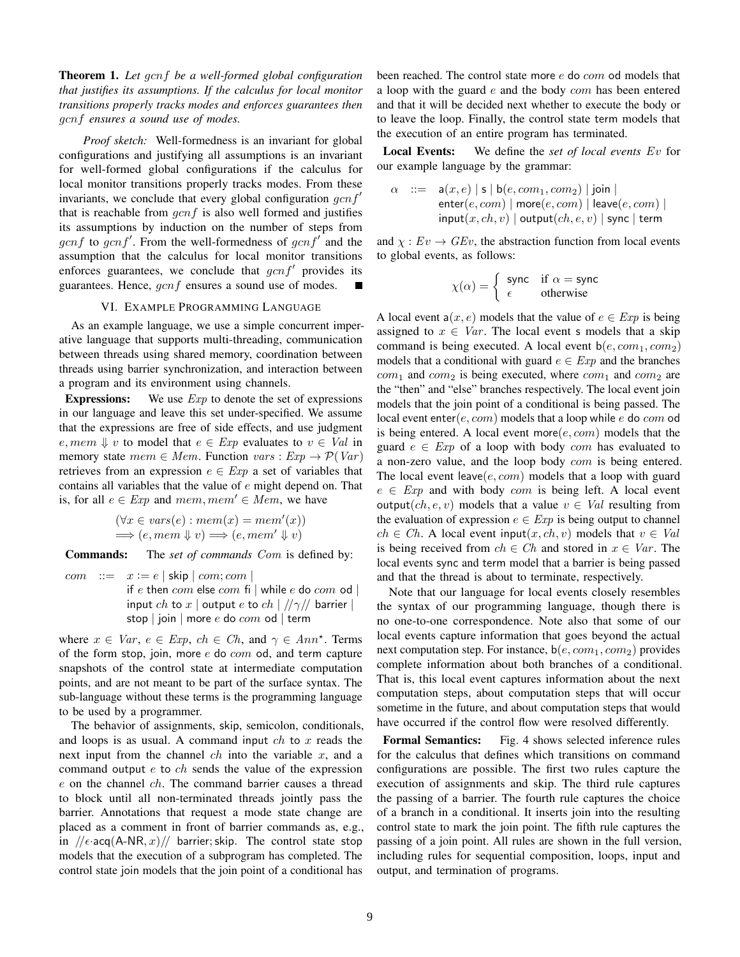Theorem 1. *Let* gcnf *be a well-formed global configuration that justifies its assumptions. If the calculus for local monitor transitions properly tracks modes and enforces guarantees then* gcnf *ensures a sound use of modes.*

*Proof sketch:* Well-formedness is an invariant for global configurations and justifying all assumptions is an invariant for well-formed global configurations if the calculus for local monitor transitions properly tracks modes. From these invariants, we conclude that every global configuration  $qcnf'$ that is reachable from  $qcnf$  is also well formed and justifies its assumptions by induction on the number of steps from gcnf to gcnf'. From the well-formedness of gcnf<sup> $\int$ </sup> and the assumption that the calculus for local monitor transitions enforces guarantees, we conclude that  $gcnf'$  provides its guarantees. Hence,  $gcnf$  ensures a sound use of modes.

# VI. EXAMPLE PROGRAMMING LANGUAGE

As an example language, we use a simple concurrent imperative language that supports multi-threading, communication between threads using shared memory, coordination between threads using barrier synchronization, and interaction between a program and its environment using channels.

**Expressions:** We use  $Exp$  to denote the set of expressions in our language and leave this set under-specified. We assume that the expressions are free of side effects, and use judgment e, mem  $\Downarrow v$  to model that  $e \in Exp$  evaluates to  $v \in Val$  in memory state  $mem \in Mem$ . Function  $vars: Exp \rightarrow \mathcal{P}(Var)$ retrieves from an expression  $e \in Exp$  a set of variables that contains all variables that the value of e might depend on. That is, for all  $e \in Exp$  and mem, mem'  $\in Mem$ , we have

$$
(\forall x \in vars(e) : mem(x) = mem'(x))
$$
  

$$
\implies (e, mem \Downarrow v) \implies (e, mem' \Downarrow v)
$$

Commands: The *set of commands* Com is defined by:

$$
com ::= x := e | \text{ skip} | com; com |
$$
  
if e then com else com fi | while e do com od |  
input ch to x | output e to ch | // $\gamma$  | barrier |  
stop | join | more e do com od | term

where  $x \in Var$ ,  $e \in Exp$ ,  $ch \in Ch$ , and  $\gamma \in Ann^{\star}$ . Terms of the form stop, join, more  $e$  do  $com$  od, and term capture snapshots of the control state at intermediate computation points, and are not meant to be part of the surface syntax. The sub-language without these terms is the programming language to be used by a programmer.

The behavior of assignments, skip, semicolon, conditionals, and loops is as usual. A command input  $ch$  to x reads the next input from the channel  $ch$  into the variable  $x$ , and a command output  $e$  to  $ch$  sends the value of the expression  $e$  on the channel  $ch$ . The command barrier causes a thread to block until all non-terminated threads jointly pass the barrier. Annotations that request a mode state change are placed as a comment in front of barrier commands as, e.g., in  $\sqrt{\epsilon}$  acq(A-NR, x)  $\sqrt{\epsilon}$  barrier; skip. The control state stop models that the execution of a subprogram has completed. The control state join models that the join point of a conditional has

been reached. The control state more e do com od models that a loop with the guard  $e$  and the body  $com$  has been entered and that it will be decided next whether to execute the body or to leave the loop. Finally, the control state term models that the execution of an entire program has terminated.

Local Events: We define the *set of local events* Ev for our example language by the grammar:

$$
\alpha ::= \mathsf{a}(x, e) | \mathsf{s} | \mathsf{b}(e, com_1, com_2) | join |
$$
\n
$$
\mathsf{enter}(e, com) | more(e, com) | leave(e, com) |
$$
\n
$$
\mathsf{input}(x, ch, v) | output(ch, e, v) | sync | term
$$

and  $\chi : Ev \to GEv$ , the abstraction function from local events to global events, as follows:

$$
\chi(\alpha) = \begin{cases} \text{sync} & \text{if } \alpha = \text{sync} \\ \epsilon & \text{otherwise} \end{cases}
$$

A local event  $a(x, e)$  models that the value of  $e \in Exp$  is being assigned to  $x \in Var$ . The local event s models that a skip command is being executed. A local event  $b(e, com_1, com_2)$ models that a conditional with guard  $e \in Exp$  and the branches  $com_1$  and  $com_2$  is being executed, where  $com_1$  and  $com_2$  are the "then" and "else" branches respectively. The local event join models that the join point of a conditional is being passed. The local event enter $(e, com)$  models that a loop while  $e$  do  $com$  od is being entered. A local event more $(e, com)$  models that the guard  $e \in Exp$  of a loop with body *com* has evaluated to a non-zero value, and the loop body com is being entered. The local event leave $(e, com)$  models that a loop with guard  $e \in Exp$  and with body com is being left. A local event output(ch, e, v) models that a value  $v \in Val$  resulting from the evaluation of expression  $e \in Exp$  is being output to channel  $ch \in Ch$ . A local event input $(x, ch, v)$  models that  $v \in Val$ is being received from  $ch \in Ch$  and stored in  $x \in Var$ . The local events sync and term model that a barrier is being passed and that the thread is about to terminate, respectively.

Note that our language for local events closely resembles the syntax of our programming language, though there is no one-to-one correspondence. Note also that some of our local events capture information that goes beyond the actual next computation step. For instance,  $b(e, com_1, com_2)$  provides complete information about both branches of a conditional. That is, this local event captures information about the next computation steps, about computation steps that will occur sometime in the future, and about computation steps that would have occurred if the control flow were resolved differently.

Formal Semantics: Fig. 4 shows selected inference rules for the calculus that defines which transitions on command configurations are possible. The first two rules capture the execution of assignments and skip. The third rule captures the passing of a barrier. The fourth rule captures the choice of a branch in a conditional. It inserts join into the resulting control state to mark the join point. The fifth rule captures the passing of a join point. All rules are shown in the full version, including rules for sequential composition, loops, input and output, and termination of programs.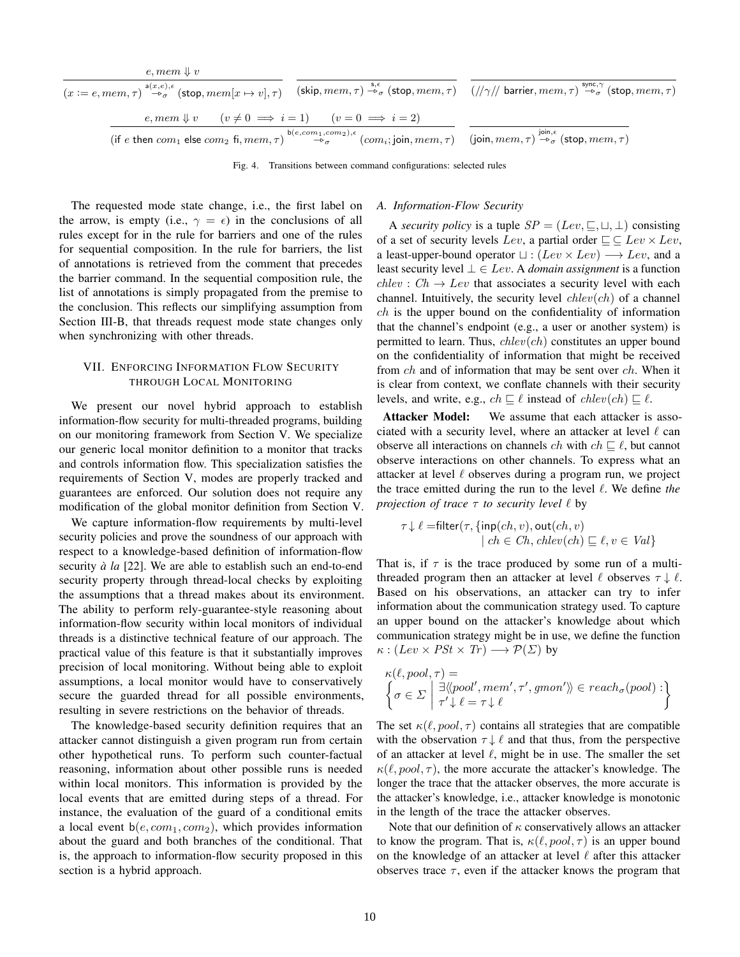$e, mem \Downarrow v$ 

$$
\overbrace{(x := e, mem, \tau) \xrightarrow{a(x,e), \epsilon} (\text{stop}, mem[x \mapsto v], \tau)}^{\text{a(x,e)}, \epsilon} \overbrace{(\text{skip}, mem, \tau) \xrightarrow{s, \epsilon} (\text{stop}, mem, \tau)}^{\text{sign}, \tau} \overbrace{(\text{skip}, mem, \tau) \xrightarrow{s, \epsilon} (\text{stop}, mem, \tau)}^{\text{sign}, \gamma} \overbrace{(\text{skip}, mem, \tau) \xrightarrow{s, \tau} (\text{stop}, mem, \tau)}^{\text{sign}, \gamma} (\text{stop}, mem, \tau) \xrightarrow{t \mapsto \tau} (\text{stop}, mem, \tau)}
$$
\n
$$
\overbrace{(if \ e \ \text{then} \ com_1 \ \text{else} \ com_2 \ \text{fi}, mem, \tau)}^{\text{sign}, \tau} \overbrace{(com_i; \text{join}, mem, \tau)}^{\text{sign}, \tau} \overbrace{(join, mem, \tau) \xrightarrow{join, mem, \tau}^{\text{join}, \epsilon} (\text{stop}, mem, \tau)}
$$

Fig. 4. Transitions between command configurations: selected rules

The requested mode state change, i.e., the first label on the arrow, is empty (i.e.,  $\gamma = \epsilon$ ) in the conclusions of all rules except for in the rule for barriers and one of the rules for sequential composition. In the rule for barriers, the list of annotations is retrieved from the comment that precedes the barrier command. In the sequential composition rule, the list of annotations is simply propagated from the premise to the conclusion. This reflects our simplifying assumption from Section III-B, that threads request mode state changes only when synchronizing with other threads.

# VII. ENFORCING INFORMATION FLOW SECURITY THROUGH LOCAL MONITORING

We present our novel hybrid approach to establish information-flow security for multi-threaded programs, building on our monitoring framework from Section V. We specialize our generic local monitor definition to a monitor that tracks and controls information flow. This specialization satisfies the requirements of Section V, modes are properly tracked and guarantees are enforced. Our solution does not require any modification of the global monitor definition from Section V.

We capture information-flow requirements by multi-level security policies and prove the soundness of our approach with respect to a knowledge-based definition of information-flow security *à la* [22]. We are able to establish such an end-to-end security property through thread-local checks by exploiting the assumptions that a thread makes about its environment. The ability to perform rely-guarantee-style reasoning about information-flow security within local monitors of individual threads is a distinctive technical feature of our approach. The practical value of this feature is that it substantially improves precision of local monitoring. Without being able to exploit assumptions, a local monitor would have to conservatively secure the guarded thread for all possible environments, resulting in severe restrictions on the behavior of threads.

The knowledge-based security definition requires that an attacker cannot distinguish a given program run from certain other hypothetical runs. To perform such counter-factual reasoning, information about other possible runs is needed within local monitors. This information is provided by the local events that are emitted during steps of a thread. For instance, the evaluation of the guard of a conditional emits a local event  $b(e, com_1, com_2)$ , which provides information about the guard and both branches of the conditional. That is, the approach to information-flow security proposed in this section is a hybrid approach.

## *A. Information-Flow Security*

A *security policy* is a tuple  $SP = (Lev, \sqsubseteq, \sqcup, \perp)$  consisting of a set of security levels Lev, a partial order  $\subseteq \subseteq Lev \times Lev$ , a least-upper-bound operator  $\sqcup$ :  $(Lev \times Lev) \longrightarrow Lev$ , and a least security level ⊥ ∈ Lev. A *domain assignment* is a function  $chlev: Ch \rightarrow Lev$  that associates a security level with each channel. Intuitively, the security level  $chlev(ch)$  of a channel ch is the upper bound on the confidentiality of information that the channel's endpoint (e.g., a user or another system) is permitted to learn. Thus,  $chlev(ch)$  constitutes an upper bound on the confidentiality of information that might be received from ch and of information that may be sent over ch. When it is clear from context, we conflate channels with their security levels, and write, e.g.,  $ch \sqsubseteq \ell$  instead of  $chlev(ch) \sqsubseteq \ell$ .

Attacker Model: We assume that each attacker is associated with a security level, where an attacker at level  $\ell$  can observe all interactions on channels *ch* with  $ch \sqsubseteq l$ , but cannot observe interactions on other channels. To express what an attacker at level  $\ell$  observes during a program run, we project the trace emitted during the run to the level  $\ell$ . We define *the projection of trace*  $\tau$  *to security level*  $\ell$  by

$$
\tau \downarrow \ell = \text{filter}(\tau, \{ \text{inp}(ch, v), \text{out}(ch, v) \\ \mid ch \in Ch, \text{chlev}(ch) \sqsubseteq \ell, v \in Val \}
$$

That is, if  $\tau$  is the trace produced by some run of a multithreaded program then an attacker at level  $\ell$  observes  $\tau \downarrow \ell$ . Based on his observations, an attacker can try to infer information about the communication strategy used. To capture an upper bound on the attacker's knowledge about which communication strategy might be in use, we define the function  $\kappa : (Lev \times PSt \times Tr) \longrightarrow \mathcal{P}(\Sigma)$  by

$$
\kappa(\ell, pool, \tau) =
$$
\n
$$
\left\{\sigma \in \Sigma \middle| \begin{array}{l} \exists \langle pool', mem', \tau', gmon' \rangle \rangle \in reach_{\sigma}(pool) : \\ \tau' \downarrow \ell = \tau \downarrow \ell \end{array} \right\}
$$

The set  $\kappa(\ell, pool, \tau)$  contains all strategies that are compatible with the observation  $\tau \downarrow \ell$  and that thus, from the perspective of an attacker at level  $\ell$ , might be in use. The smaller the set  $\kappa(\ell, pool, \tau)$ , the more accurate the attacker's knowledge. The longer the trace that the attacker observes, the more accurate is the attacker's knowledge, i.e., attacker knowledge is monotonic in the length of the trace the attacker observes.

Note that our definition of  $\kappa$  conservatively allows an attacker to know the program. That is,  $\kappa(\ell, pool, \tau)$  is an upper bound on the knowledge of an attacker at level  $\ell$  after this attacker observes trace  $\tau$ , even if the attacker knows the program that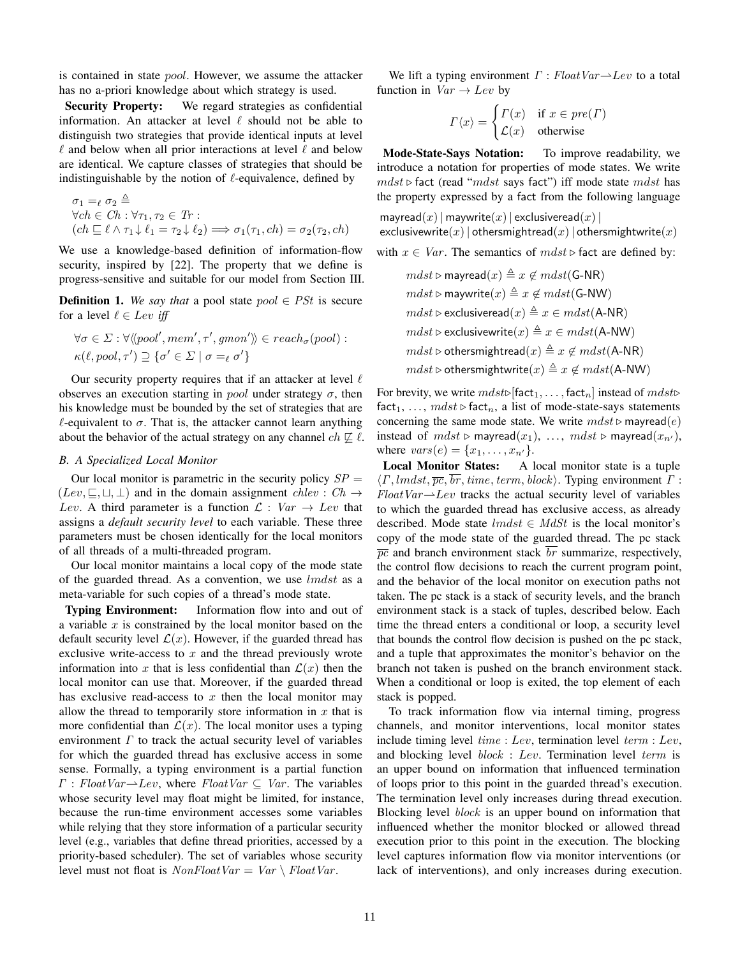is contained in state pool. However, we assume the attacker has no a-priori knowledge about which strategy is used.

Security Property: We regard strategies as confidential information. An attacker at level  $\ell$  should not be able to distinguish two strategies that provide identical inputs at level  $\ell$  and below when all prior interactions at level  $\ell$  and below are identical. We capture classes of strategies that should be indistinguishable by the notion of  $\ell$ -equivalence, defined by

$$
\sigma_1 = \ell \sigma_2 \stackrel{\Delta}{=} \forall ch \in Ch : \forall \tau_1, \tau_2 \in Tr : (ch \sqsubseteq \ell \land \tau_1 \downarrow \ell_1 = \tau_2 \downarrow \ell_2) \Longrightarrow \sigma_1(\tau_1, ch) = \sigma_2(\tau_2, ch)
$$

We use a knowledge-based definition of information-flow security, inspired by [22]. The property that we define is progress-sensitive and suitable for our model from Section III.

**Definition 1.** *We say that* a pool state  $pool \in PSt$  is secure for a level  $\ell \in Lev$  *iff* 

$$
\forall \sigma \in \Sigma : \forall \langle \langle pool', mem', \tau', gmon' \rangle \rangle \in reach_{\sigma}(pool) : \kappa(\ell, pool, \tau') \supseteq {\sigma' \in \Sigma \mid \sigma =_{\ell} \sigma' }
$$

Our security property requires that if an attacker at level  $\ell$ observes an execution starting in *pool* under strategy  $\sigma$ , then his knowledge must be bounded by the set of strategies that are  $\ell$ -equivalent to  $\sigma$ . That is, the attacker cannot learn anything about the behavior of the actual strategy on any channel  $ch \not\sqsubseteq \ell$ .

# *B. A Specialized Local Monitor*

Our local monitor is parametric in the security policy  $SP =$  $(Lev, \sqsubseteq, \sqcup, \perp)$  and in the domain assignment chlev : Ch  $\rightarrow$ Lev. A third parameter is a function  $\mathcal{L}: Var \rightarrow Lev$  that assigns a *default security level* to each variable. These three parameters must be chosen identically for the local monitors of all threads of a multi-threaded program.

Our local monitor maintains a local copy of the mode state of the guarded thread. As a convention, we use *lmdst* as a meta-variable for such copies of a thread's mode state.

Typing Environment: Information flow into and out of a variable  $x$  is constrained by the local monitor based on the default security level  $\mathcal{L}(x)$ . However, if the guarded thread has exclusive write-access to  $x$  and the thread previously wrote information into x that is less confidential than  $\mathcal{L}(x)$  then the local monitor can use that. Moreover, if the guarded thread has exclusive read-access to  $x$  then the local monitor may allow the thread to temporarily store information in  $x$  that is more confidential than  $\mathcal{L}(x)$ . The local monitor uses a typing environment  $\Gamma$  to track the actual security level of variables for which the guarded thread has exclusive access in some sense. Formally, a typing environment is a partial function  $\Gamma$ : FloatVar $\rightarrow$ Lev, where FloatVar  $\subseteq$  Var. The variables whose security level may float might be limited, for instance, because the run-time environment accesses some variables while relying that they store information of a particular security level (e.g., variables that define thread priorities, accessed by a priority-based scheduler). The set of variables whose security level must not float is  $NonFloatVar = Var \setminus floatVar$ .

We lift a typing environment  $\Gamma$ : FloatVar $\rightarrow$ Lev to a total function in  $Var \rightarrow Lev$  by

$$
\Gamma \langle x \rangle = \begin{cases} \Gamma(x) & \text{if } x \in pre(\Gamma) \\ \mathcal{L}(x) & \text{otherwise} \end{cases}
$$

Mode-State-Says Notation: To improve readability, we introduce a notation for properties of mode states. We write  $mdst \triangleright$  fact (read " $mdst$  says fact") iff mode state  $mdst$  has the property expressed by a fact from the following language

 $m$ ayread $(x)$  | maywrite $(x)$  | exclusiveread $(x)$  | exclusivewrite $(x)$  | othersmightread $(x)$  | othersmightwrite $(x)$ 

with  $x \in Var$ . The semantics of  $mdst \triangleright$  fact are defined by:

 $mdst \triangleright$  mayread $(x) \triangleq x \notin mdst(\mathsf{G-NR})$  $mdst \triangleright$  maywrite $(x) \triangleq x \notin mdst(G-NW)$  $mdst \triangleright$  exclusiveread $(x) \triangleq x \in mdst(\mathsf{A}\text{-}\mathsf{NR})$  $mdst \triangleright$  exclusivewrite $(x) \triangleq x \in mdst(\mathsf{A}\text{-}\mathsf{NW})$  $mdst \triangleright$  othersmightread $(x) \triangleq x \not\in mdst(\mathsf{A}\text{-}\mathsf{NR})$  $mdst \triangleright$  othersmightwrite $(x) \triangleq x \notin mdst(A-NW)$ 

For brevity, we write  $mdst\triangleright$  [fact<sub>1</sub>, . . . , fact<sub>n</sub>] instead of  $mdst\triangleright$ fact<sub>1</sub>, ...,  $mdst \triangleright$  fact<sub>n</sub>, a list of mode-state-says statements concerning the same mode state. We write  $mdst \triangleright$  mayread(e) instead of  $mdst \triangleright$  mayread $(x_1), \ldots, mdst \triangleright$  mayread $(x_{n'}),$ where  $vars(e) = \{x_1, ..., x_{n'}\}.$ 

Local Monitor States: A local monitor state is a tuple  $\langle \Gamma, \text{Imdst}, \overline{pc}, \overline{br}, \text{time}, \text{term}, \text{block} \rangle$ . Typing environment  $\Gamma$ :  $F\alpha tVar \rightarrow Lev$  tracks the actual security level of variables to which the guarded thread has exclusive access, as already described. Mode state  $lmdst \in MdSt$  is the local monitor's copy of the mode state of the guarded thread. The pc stack  $\overline{pc}$  and branch environment stack  $\overline{br}$  summarize, respectively, the control flow decisions to reach the current program point, and the behavior of the local monitor on execution paths not taken. The pc stack is a stack of security levels, and the branch environment stack is a stack of tuples, described below. Each time the thread enters a conditional or loop, a security level that bounds the control flow decision is pushed on the pc stack, and a tuple that approximates the monitor's behavior on the branch not taken is pushed on the branch environment stack. When a conditional or loop is exited, the top element of each stack is popped.

To track information flow via internal timing, progress channels, and monitor interventions, local monitor states include timing level  $time: Lev$ , termination level  $term: Lev$ , and blocking level *block* : Lev. Termination level term is an upper bound on information that influenced termination of loops prior to this point in the guarded thread's execution. The termination level only increases during thread execution. Blocking level *block* is an upper bound on information that influenced whether the monitor blocked or allowed thread execution prior to this point in the execution. The blocking level captures information flow via monitor interventions (or lack of interventions), and only increases during execution.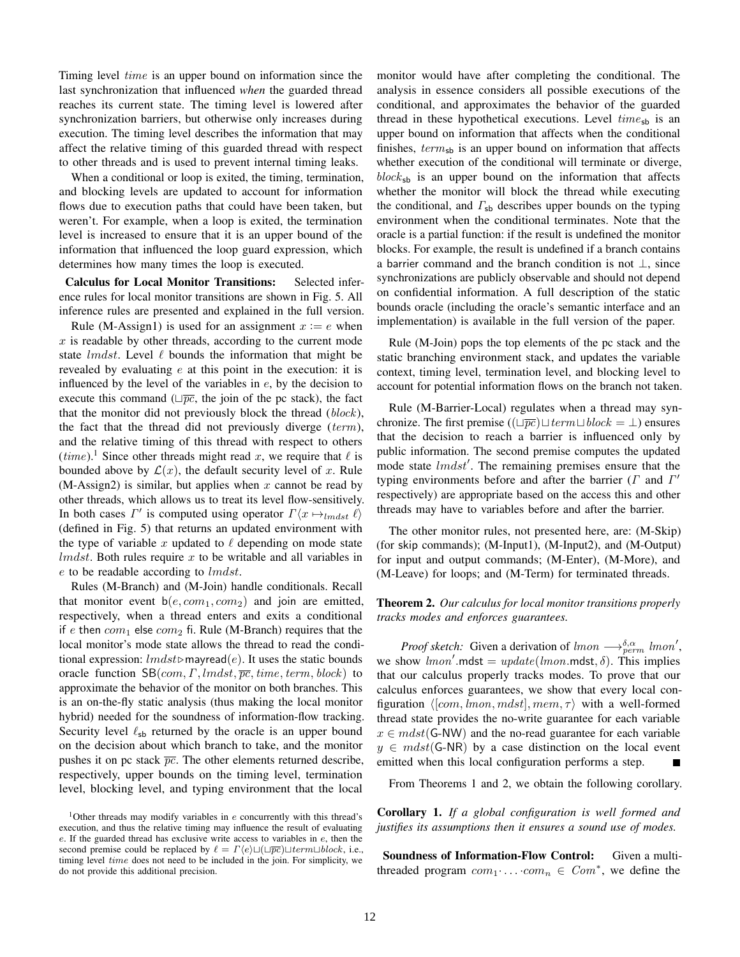Timing level time is an upper bound on information since the last synchronization that influenced *when* the guarded thread reaches its current state. The timing level is lowered after synchronization barriers, but otherwise only increases during execution. The timing level describes the information that may affect the relative timing of this guarded thread with respect to other threads and is used to prevent internal timing leaks.

When a conditional or loop is exited, the timing, termination, and blocking levels are updated to account for information flows due to execution paths that could have been taken, but weren't. For example, when a loop is exited, the termination level is increased to ensure that it is an upper bound of the information that influenced the loop guard expression, which determines how many times the loop is executed.

Calculus for Local Monitor Transitions: Selected inference rules for local monitor transitions are shown in Fig. 5. All inference rules are presented and explained in the full version.

Rule (M-Assign1) is used for an assignment  $x := e$  when  $x$  is readable by other threads, according to the current mode state  $lmdst$ . Level  $\ell$  bounds the information that might be revealed by evaluating  $e$  at this point in the execution: it is influenced by the level of the variables in  $e$ , by the decision to execute this command ( $\Box \overline{pc}$ , the join of the pc stack), the fact that the monitor did not previously block the thread (block), the fact that the thread did not previously diverge  $(term)$ , and the relative timing of this thread with respect to others (*time*).<sup>1</sup> Since other threads might read x, we require that  $\ell$  is bounded above by  $\mathcal{L}(x)$ , the default security level of x. Rule (M-Assign2) is similar, but applies when  $x$  cannot be read by other threads, which allows us to treat its level flow-sensitively. In both cases  $\Gamma'$  is computed using operator  $\Gamma\langle x \mapsto_{lmdst} \ell \rangle$ (defined in Fig. 5) that returns an updated environment with the type of variable x updated to  $\ell$  depending on mode state  $lmdst$ . Both rules require x to be writable and all variables in  $e$  to be readable according to  $lmdst$ .

Rules (M-Branch) and (M-Join) handle conditionals. Recall that monitor event  $b(e, com_1, com_2)$  and join are emitted, respectively, when a thread enters and exits a conditional if e then  $com_1$  else  $com_2$  fi. Rule (M-Branch) requires that the local monitor's mode state allows the thread to read the conditional expression:  $lmdst \triangleright$  mayread(e). It uses the static bounds oracle function  $SB(com, \Gamma, \text{lmdst}, \overline{pc}, \text{time}, \text{term}, \text{block})$  to approximate the behavior of the monitor on both branches. This is an on-the-fly static analysis (thus making the local monitor hybrid) needed for the soundness of information-flow tracking. Security level  $\ell_{sb}$  returned by the oracle is an upper bound on the decision about which branch to take, and the monitor pushes it on pc stack  $\overline{pc}$ . The other elements returned describe, respectively, upper bounds on the timing level, termination level, blocking level, and typing environment that the local

monitor would have after completing the conditional. The analysis in essence considers all possible executions of the conditional, and approximates the behavior of the guarded thread in these hypothetical executions. Level  $time_{sb}$  is an upper bound on information that affects when the conditional finishes,  $term_{sb}$  is an upper bound on information that affects whether execution of the conditional will terminate or diverge,  $block_{sb}$  is an upper bound on the information that affects whether the monitor will block the thread while executing the conditional, and  $\Gamma_{sb}$  describes upper bounds on the typing environment when the conditional terminates. Note that the oracle is a partial function: if the result is undefined the monitor blocks. For example, the result is undefined if a branch contains a barrier command and the branch condition is not ⊥, since synchronizations are publicly observable and should not depend on confidential information. A full description of the static bounds oracle (including the oracle's semantic interface and an implementation) is available in the full version of the paper.

Rule (M-Join) pops the top elements of the pc stack and the static branching environment stack, and updates the variable context, timing level, termination level, and blocking level to account for potential information flows on the branch not taken.

Rule (M-Barrier-Local) regulates when a thread may synchronize. The first premise  $((\Box \overline{pc}) \Box term \Box block = \bot)$  ensures that the decision to reach a barrier is influenced only by public information. The second premise computes the updated mode state  $lmdst'$ . The remaining premises ensure that the typing environments before and after the barrier  $(\Gamma \text{ and } \Gamma)$ respectively) are appropriate based on the access this and other threads may have to variables before and after the barrier.

The other monitor rules, not presented here, are: (M-Skip) (for skip commands); (M-Input1), (M-Input2), and (M-Output) for input and output commands; (M-Enter), (M-More), and (M-Leave) for loops; and (M-Term) for terminated threads.

# Theorem 2. *Our calculus for local monitor transitions properly tracks modes and enforces guarantees.*

*Proof sketch:* Given a derivation of  $l$ *mon*  $\rightarrow$   $\stackrel{\delta,\alpha}{perm}$   $lmon',$ we show  $lmon'$ .mdst =  $update(lmon.\text{mdst}, \delta)$ . This implies that our calculus properly tracks modes. To prove that our calculus enforces guarantees, we show that every local configuration  $\langle [com, lmon, mdst], mem, \tau \rangle$  with a well-formed thread state provides the no-write guarantee for each variable  $x \in mdst$  (G-NW) and the no-read guarantee for each variable  $y \in mdst(G-NR)$  by a case distinction on the local event emitted when this local configuration performs a step.

From Theorems 1 and 2, we obtain the following corollary.

Corollary 1. *If a global configuration is well formed and justifies its assumptions then it ensures a sound use of modes.*

Soundness of Information-Flow Control: Given a multithreaded program  $com_1 \cdot \ldots \cdot com_n \in Com^*$ , we define the

<sup>&</sup>lt;sup>1</sup>Other threads may modify variables in  $e$  concurrently with this thread's execution, and thus the relative timing may influence the result of evaluating e. If the guarded thread has exclusive write access to variables in e, then the second premise could be replaced by  $\ell = \Gamma \langle e \rangle \sqcup (\sqcup \overline{pc}) \sqcup term \sqcup block$ , i.e., timing level time does not need to be included in the join. For simplicity, we do not provide this additional precision.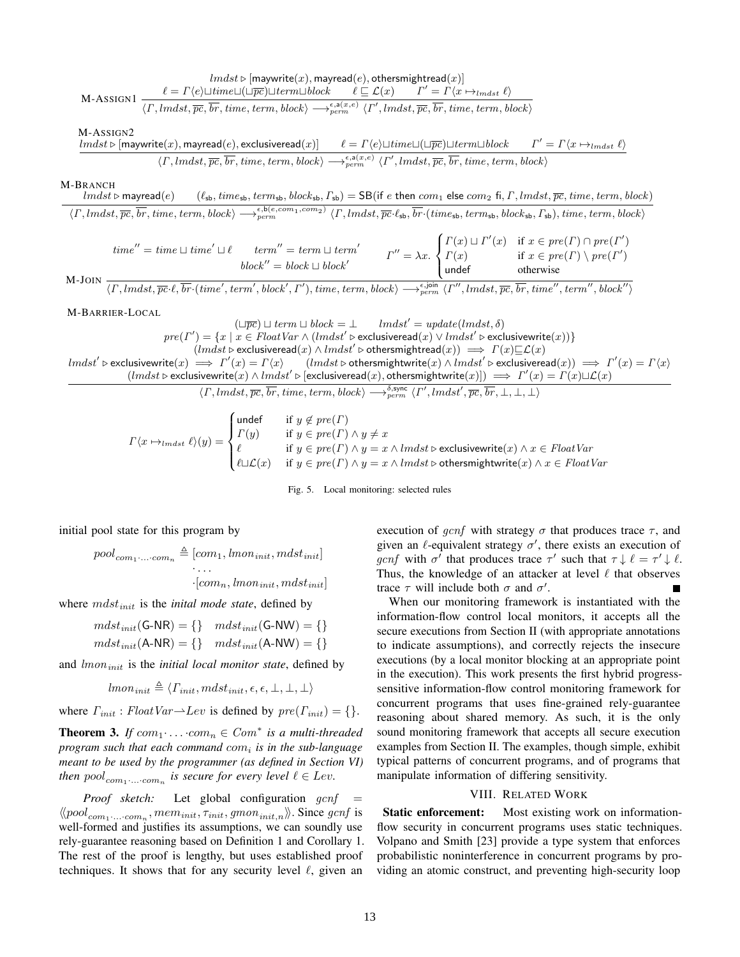**M-ASSIGN1**  $\ell = \Gamma \langle e \rangle \sqcup time \sqcup (\sqcup \overline{pc}) \sqcup term \sqcup block$   $\ell \sqsubseteq \mathcal{L}(x)$   $\Gamma' = \Gamma \langle x \mapsto_{lmdst} \ell \rangle$  $lmdst \triangleright [$ maywrite $(x)$ , mayread $(e)$ , othersmightread $(x)]$  $\langle \mathnormal{\Gamma}, \mathnormal{lmdst}, \overline{pc}, \overline{br}, \mathnormal{time}, \mathnormal{term}, \mathnormal{block} \rangle \longrightarrow_{perm}^{\epsilon, \mathsf{a} (x, e)} \langle \mathnormal{\Gamma}', \mathnormal{lmdst}, \overline{pc}, \overline{br}, \mathnormal{time}, \mathnormal{term}, \mathnormal{block} \rangle$ 

M-ASSIGN2

 $lmdst$   $\triangleright$   $[\mathsf{maywrite}(x), \mathsf{mayread}(e), \mathsf{exclusiveread}(x)]$   $\ell = \Gamma \langle e \rangle \sqcup time \sqcup (\sqcup \overline{pc}) \sqcup term \sqcup block$   $\Gamma' = \Gamma \langle x \mapsto_{lmdst} \ell \rangle$  $\langle \Gamma, \textit{lmdst}, \overline{pc}, \overline{br}, \textit{time}, \textit{term}, \textit{block} \rangle \longrightarrow_{\textit{perm}}^{\epsilon, \mathsf{a(x,e)}} \langle \Gamma', \textit{lmdst}, \overline{pc}, \overline{br}, \textit{time}, \textit{term}, \textit{block} \rangle$ 

M-BRANCH

 $lmdst \triangleright$  mayread $(e)$   $(\ell_{sb}, \text{time}_{sb}, \text{term}_{sb}, \text{block}_{sb}, \Gamma_{sb}) = \mathsf{SB}(\text{if } e \text{ then } \text{com}_1 \text{ else } \text{com}_2 \text{ fi}, \Gamma, \text{lmdst}, \overline{pc}, \text{time}, \text{term}, \text{block})$  $\langle \Gamma,lmdst,\overline{pc},\overline{br},time,term,block\rangle \longrightarrow_{perm}^{\epsilon, \mathsf{b}(e,comm,comm)} \langle \Gamma,lmdst,\overline{pc}\cdot \ell_{\mathsf{sb}},\overline{br}\cdot (time_{\mathsf{sb}},term_{\mathsf{sb}},block_{\mathsf{sb}},\Gamma_{\mathsf{sb}}),time,term,block\rangle$ 

$$
\mathit{time}'' = \mathit{time} \sqcup \mathit{time}' \sqcup \ell \quad \mathit{term}'' = \mathit{term} \sqcup \mathit{term}' \quad \Gamma'' = \lambda x. \begin{cases} \Gamma(x) \sqcup \Gamma'(x) & \text{if } x \in \mathit{pre}(\Gamma) \cap \mathit{pre}(\Gamma') \\ \Gamma(x) & \text{if } x \in \mathit{pre}(\Gamma) \setminus \mathit{pre}(\Gamma') \\ \mathit{index}'' = \mathit{block} \quad \qquad \mathit{bluek}' \quad \qquad \mathit{order} \quad \qquad \mathit{otherwise} \end{cases}
$$

M-JOIN  $\langle \Gamma,lmdst, \overline{pc}\cdot\ell, \overline{br}\cdot (time', term', block', \Gamma'), time, term, block \rangle \longrightarrow_{perm}^{\epsilon, join} \langle \Gamma'',lmdst, \overline{pc}, \overline{br}, time'', term'', block'' \rangle$ 

M-BARRIER-LOCAL

 $(\Box \overline{pc}) \sqcup term \sqcup block = \bot$   $lmdst' = update(lmdst, \delta)$  $pre(\Gamma') = \{x \mid x \in \text{FloatVar} \land (\text{lmdst}' \triangleright \text{exclusiveread}(x) \vee \text{lmdst}' \triangleright \text{exclusivewrite}(x))\}$  $(\textit{lmdst} \triangleright \textsf{exclusiveread}(x) \wedge \textit{lmdst}' \triangleright \textsf{othersmightread}(x)) \implies \Gamma(x) \square \mathcal{L}(x)$  $lmdst' \triangleright {\sf exclusivewrite}(x) \implies \Gamma'$  $f(x) = \Gamma \langle x \rangle$  (lmdst  $\triangleright$  othersmightwrite $(x) \wedge \overline{1}$  indst'  $\triangleright$  exclusiveread $(x)$ )  $\implies \Gamma'(x) = \Gamma \langle x \rangle$  $(lmdst \triangleright \text{exclusivewrite}(x) \land lmdst' \triangleright [\text{exclusiveread}(x), \text{otherwise}(x)]) \implies \Gamma'(x) = \Gamma(x) \sqcup \mathcal{L}(x)$  $\langle \Gamma, lmdst, \overline{pc}, \overline{br}, \textit{time}, \textit{term}, \textit{block} \rangle \longrightarrow_{perm}^{\delta, \textsf{sync}} \langle \Gamma', lmdst', \overline{pc}, \overline{br}, \bot, \bot, \bot \rangle$ 

 $\Gamma\langle x \mapsto_{lmdst} \ell\rangle(y) =$  $\sqrt{ }$  $\int$  $\overline{\mathcal{L}}$ undef if  $y \notin pre(\Gamma)$  $\Gamma(y)$  if  $y \in pre(\Gamma) \wedge y \neq x$  $\ell$  if  $y \in pre(\Gamma) \wedge y = x \wedge lmdst \triangleright$  exclusivewrite $(x) \wedge x \in FloatVar$  $\ell \sqcup \mathcal{L}(x)$  if  $y \in pre(\Gamma) \land y = x \land \text{lmdst} \triangleright \text{othersmightwrite}(x) \land x \in \text{FloatVar}$ 

Fig. 5. Local monitoring: selected rules

initial pool state for this program by

 $pool_{com_1 \dots com_n} \triangleq [com_1, lmon_{init}, mdst_{init}]$ · . . .  $\cdot [com_n, lmon_{init}, mdst_{init}]$ 

where mdstinit is the *inital mode state*, defined by

$$
mdst_{init}(G\text{-NR}) = \{\} \quad mdst_{init}(G\text{-NW}) = \{\}
$$

$$
mdst_{init}(A\text{-NR}) = \{\} \quad mdst_{init}(A\text{-NW}) = \{\}
$$

and *lmon<sub>init</sub>* is the *initial local monitor state*, defined by

$$
lmon_{init} \triangleq \langle \Gamma_{init}, mdst_{init}, \epsilon, \epsilon, \perp, \perp, \perp \rangle
$$

where  $\Gamma_{init}$ :  $FloatVar \rightarrow Lev$  is defined by  $pre(\Gamma_{init}) = \{\}.$ 

**Theorem 3.** If  $com_1 \cdot \ldots \cdot com_n \in Com^*$  is a multi-threaded *program such that each command* com<sup>i</sup> *is in the sub-language meant to be used by the programmer (as defined in Section VI) then*  $pool_{com_1 \dots com_n}$  *is secure for every level*  $\ell \in Lev$ *.* 

*Proof sketch:* Let global configuration gcnf =  $\langle \langle pool_{com_1 \cdots com_n}, mem_{init}, \tau_{init}, gmon_{init,n} \rangle \rangle$ . Since gcnf is well-formed and justifies its assumptions, we can soundly use rely-guarantee reasoning based on Definition 1 and Corollary 1. The rest of the proof is lengthy, but uses established proof techniques. It shows that for any security level  $\ell$ , given an

execution of gcnf with strategy  $\sigma$  that produces trace  $\tau$ , and given an  $\ell$ -equivalent strategy  $\sigma'$ , there exists an execution of gcnf with  $\sigma'$  that produces trace  $\tau'$  such that  $\tau \downarrow \ell = \tau' \downarrow \ell$ . Thus, the knowledge of an attacker at level  $\ell$  that observes trace  $\tau$  will include both  $\sigma$  and  $\sigma'$ . П

When our monitoring framework is instantiated with the information-flow control local monitors, it accepts all the secure executions from Section II (with appropriate annotations to indicate assumptions), and correctly rejects the insecure executions (by a local monitor blocking at an appropriate point in the execution). This work presents the first hybrid progresssensitive information-flow control monitoring framework for concurrent programs that uses fine-grained rely-guarantee reasoning about shared memory. As such, it is the only sound monitoring framework that accepts all secure execution examples from Section II. The examples, though simple, exhibit typical patterns of concurrent programs, and of programs that manipulate information of differing sensitivity.

## VIII. RELATED WORK

Static enforcement: Most existing work on informationflow security in concurrent programs uses static techniques. Volpano and Smith [23] provide a type system that enforces probabilistic noninterference in concurrent programs by providing an atomic construct, and preventing high-security loop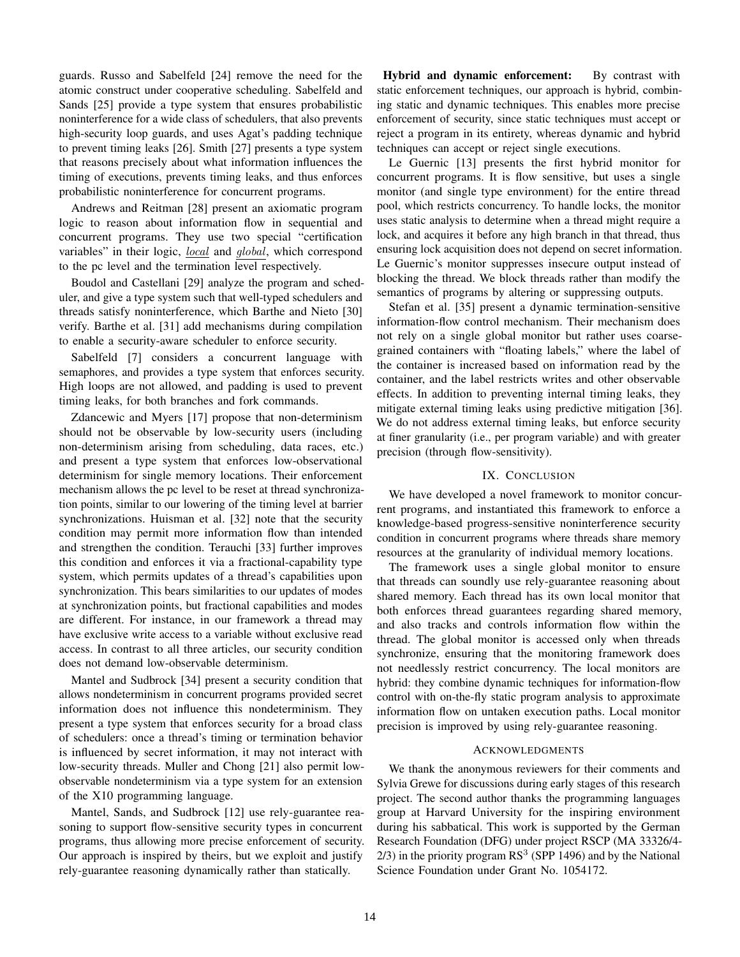guards. Russo and Sabelfeld [24] remove the need for the atomic construct under cooperative scheduling. Sabelfeld and Sands [25] provide a type system that ensures probabilistic noninterference for a wide class of schedulers, that also prevents high-security loop guards, and uses Agat's padding technique to prevent timing leaks [26]. Smith [27] presents a type system that reasons precisely about what information influences the timing of executions, prevents timing leaks, and thus enforces probabilistic noninterference for concurrent programs.

Andrews and Reitman [28] present an axiomatic program logic to reason about information flow in sequential and concurrent programs. They use two special "certification variables" in their logic, *local* and *qlobal*, which correspond to the pc level and the termination level respectively.

Boudol and Castellani [29] analyze the program and scheduler, and give a type system such that well-typed schedulers and threads satisfy noninterference, which Barthe and Nieto [30] verify. Barthe et al. [31] add mechanisms during compilation to enable a security-aware scheduler to enforce security.

Sabelfeld [7] considers a concurrent language with semaphores, and provides a type system that enforces security. High loops are not allowed, and padding is used to prevent timing leaks, for both branches and fork commands.

Zdancewic and Myers [17] propose that non-determinism should not be observable by low-security users (including non-determinism arising from scheduling, data races, etc.) and present a type system that enforces low-observational determinism for single memory locations. Their enforcement mechanism allows the pc level to be reset at thread synchronization points, similar to our lowering of the timing level at barrier synchronizations. Huisman et al. [32] note that the security condition may permit more information flow than intended and strengthen the condition. Terauchi [33] further improves this condition and enforces it via a fractional-capability type system, which permits updates of a thread's capabilities upon synchronization. This bears similarities to our updates of modes at synchronization points, but fractional capabilities and modes are different. For instance, in our framework a thread may have exclusive write access to a variable without exclusive read access. In contrast to all three articles, our security condition does not demand low-observable determinism.

Mantel and Sudbrock [34] present a security condition that allows nondeterminism in concurrent programs provided secret information does not influence this nondeterminism. They present a type system that enforces security for a broad class of schedulers: once a thread's timing or termination behavior is influenced by secret information, it may not interact with low-security threads. Muller and Chong [21] also permit lowobservable nondeterminism via a type system for an extension of the X10 programming language.

Mantel, Sands, and Sudbrock [12] use rely-guarantee reasoning to support flow-sensitive security types in concurrent programs, thus allowing more precise enforcement of security. Our approach is inspired by theirs, but we exploit and justify rely-guarantee reasoning dynamically rather than statically.

Hybrid and dynamic enforcement: By contrast with static enforcement techniques, our approach is hybrid, combining static and dynamic techniques. This enables more precise enforcement of security, since static techniques must accept or reject a program in its entirety, whereas dynamic and hybrid techniques can accept or reject single executions.

Le Guernic [13] presents the first hybrid monitor for concurrent programs. It is flow sensitive, but uses a single monitor (and single type environment) for the entire thread pool, which restricts concurrency. To handle locks, the monitor uses static analysis to determine when a thread might require a lock, and acquires it before any high branch in that thread, thus ensuring lock acquisition does not depend on secret information. Le Guernic's monitor suppresses insecure output instead of blocking the thread. We block threads rather than modify the semantics of programs by altering or suppressing outputs.

Stefan et al. [35] present a dynamic termination-sensitive information-flow control mechanism. Their mechanism does not rely on a single global monitor but rather uses coarsegrained containers with "floating labels," where the label of the container is increased based on information read by the container, and the label restricts writes and other observable effects. In addition to preventing internal timing leaks, they mitigate external timing leaks using predictive mitigation [36]. We do not address external timing leaks, but enforce security at finer granularity (i.e., per program variable) and with greater precision (through flow-sensitivity).

# IX. CONCLUSION

We have developed a novel framework to monitor concurrent programs, and instantiated this framework to enforce a knowledge-based progress-sensitive noninterference security condition in concurrent programs where threads share memory resources at the granularity of individual memory locations.

The framework uses a single global monitor to ensure that threads can soundly use rely-guarantee reasoning about shared memory. Each thread has its own local monitor that both enforces thread guarantees regarding shared memory, and also tracks and controls information flow within the thread. The global monitor is accessed only when threads synchronize, ensuring that the monitoring framework does not needlessly restrict concurrency. The local monitors are hybrid: they combine dynamic techniques for information-flow control with on-the-fly static program analysis to approximate information flow on untaken execution paths. Local monitor precision is improved by using rely-guarantee reasoning.

## ACKNOWLEDGMENTS

We thank the anonymous reviewers for their comments and Sylvia Grewe for discussions during early stages of this research project. The second author thanks the programming languages group at Harvard University for the inspiring environment during his sabbatical. This work is supported by the German Research Foundation (DFG) under project RSCP (MA 33326/4-  $2/3$ ) in the priority program RS<sup>3</sup> (SPP 1496) and by the National Science Foundation under Grant No. 1054172.